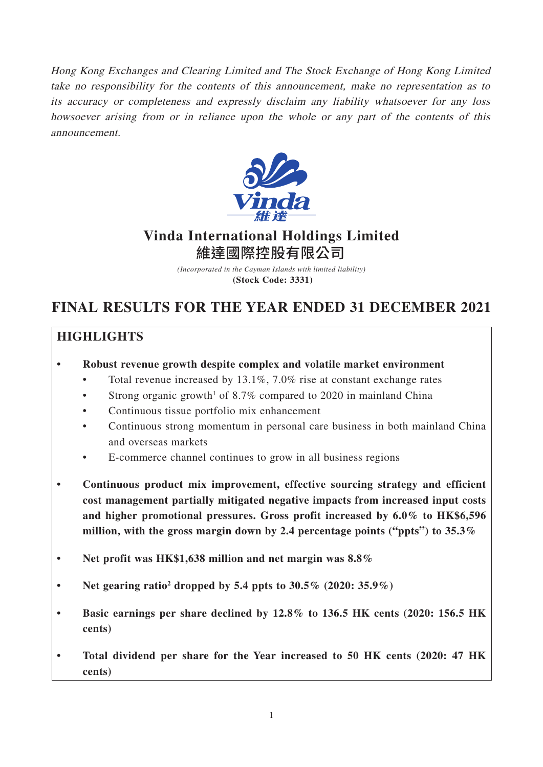Hong Kong Exchanges and Clearing Limited and The Stock Exchange of Hong Kong Limited take no responsibility for the contents of this announcement, make no representation as to its accuracy or completeness and expressly disclaim any liability whatsoever for any loss howsoever arising from or in reliance upon the whole or any part of the contents of this announcement.



# **Vinda International Holdings Limited** 維達國際控股有限公司

*(Incorporated in the Cayman Islands with limited liability)* **(Stock Code: 3331)**

# **FINAL RESULTS FOR THE YEAR ENDED 31 DECEMBER 2021**

# **HIGHLIGHTS**

- **Robust revenue growth despite complex and volatile market environment**
	- Total revenue increased by 13.1%, 7.0% rise at constant exchange rates
	- Strong organic growth<sup>1</sup> of 8.7% compared to 2020 in mainland China
	- Continuous tissue portfolio mix enhancement
	- Continuous strong momentum in personal care business in both mainland China and overseas markets
	- E-commerce channel continues to grow in all business regions
- **Continuous product mix improvement, effective sourcing strategy and efficient cost management partially mitigated negative impacts from increased input costs and higher promotional pressures. Gross profit increased by 6.0% to HK\$6,596 million, with the gross margin down by 2.4 percentage points ("ppts") to 35.3%**
- **Net profit was HK\$1,638 million and net margin was 8.8%**
- Net gearing ratio<sup>2</sup> dropped by 5.4 ppts to  $30.5\%$   $(2020:35.9\%)$
- **Basic earnings per share declined by 12.8% to 136.5 HK cents (2020: 156.5 HK cents)**
- **Total dividend per share for the Year increased to 50 HK cents (2020: 47 HK cents)**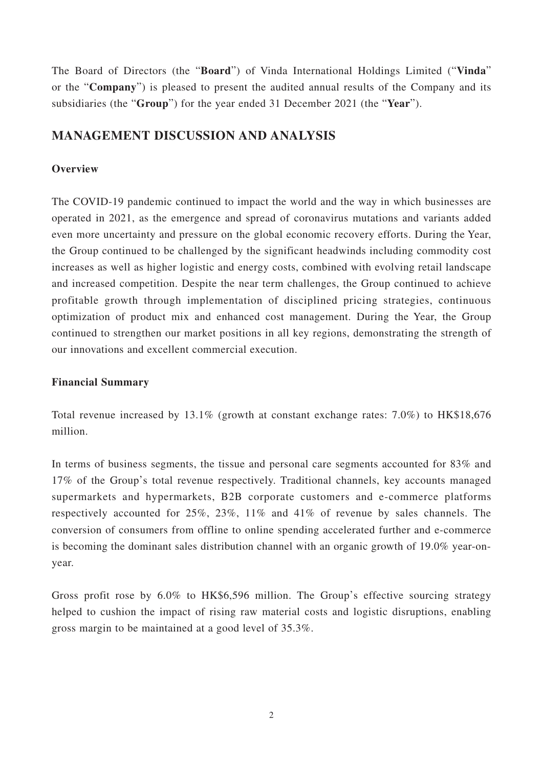The Board of Directors (the "**Board**") of Vinda International Holdings Limited ("**Vinda**" or the "**Company**") is pleased to present the audited annual results of the Company and its subsidiaries (the "**Group**") for the year ended 31 December 2021 (the "**Year**").

# **MANAGEMENT DISCUSSION AND ANALYSIS**

# **Overview**

The COVID-19 pandemic continued to impact the world and the way in which businesses are operated in 2021, as the emergence and spread of coronavirus mutations and variants added even more uncertainty and pressure on the global economic recovery efforts. During the Year, the Group continued to be challenged by the significant headwinds including commodity cost increases as well as higher logistic and energy costs, combined with evolving retail landscape and increased competition. Despite the near term challenges, the Group continued to achieve profitable growth through implementation of disciplined pricing strategies, continuous optimization of product mix and enhanced cost management. During the Year, the Group continued to strengthen our market positions in all key regions, demonstrating the strength of our innovations and excellent commercial execution.

# **Financial Summary**

Total revenue increased by 13.1% (growth at constant exchange rates: 7.0%) to HK\$18,676 million.

In terms of business segments, the tissue and personal care segments accounted for 83% and 17% of the Group's total revenue respectively. Traditional channels, key accounts managed supermarkets and hypermarkets, B2B corporate customers and e-commerce platforms respectively accounted for 25%, 23%, 11% and 41% of revenue by sales channels. The conversion of consumers from offline to online spending accelerated further and e-commerce is becoming the dominant sales distribution channel with an organic growth of 19.0% year-onyear.

Gross profit rose by 6.0% to HK\$6,596 million. The Group's effective sourcing strategy helped to cushion the impact of rising raw material costs and logistic disruptions, enabling gross margin to be maintained at a good level of 35.3%.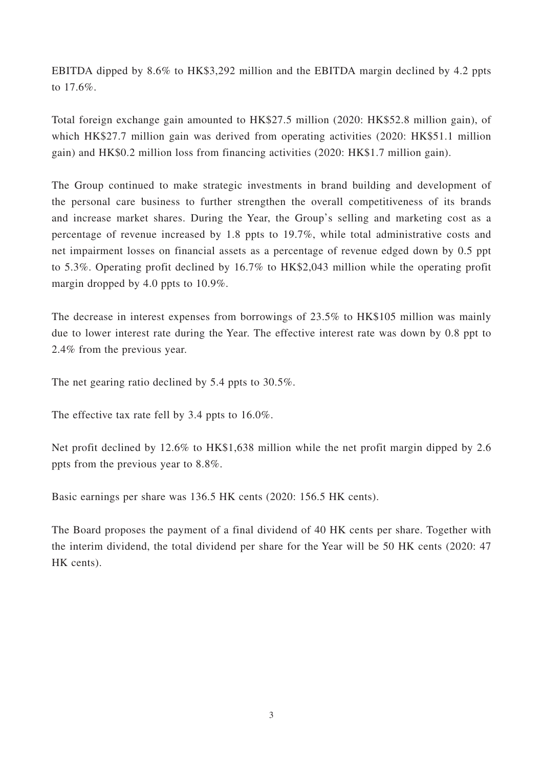EBITDA dipped by 8.6% to HK\$3,292 million and the EBITDA margin declined by 4.2 ppts to 17.6%.

Total foreign exchange gain amounted to HK\$27.5 million (2020: HK\$52.8 million gain), of which HK\$27.7 million gain was derived from operating activities (2020: HK\$51.1 million gain) and HK\$0.2 million loss from financing activities (2020: HK\$1.7 million gain).

The Group continued to make strategic investments in brand building and development of the personal care business to further strengthen the overall competitiveness of its brands and increase market shares. During the Year, the Group's selling and marketing cost as a percentage of revenue increased by 1.8 ppts to 19.7%, while total administrative costs and net impairment losses on financial assets as a percentage of revenue edged down by 0.5 ppt to 5.3%. Operating profit declined by 16.7% to HK\$2,043 million while the operating profit margin dropped by 4.0 ppts to 10.9%.

The decrease in interest expenses from borrowings of 23.5% to HK\$105 million was mainly due to lower interest rate during the Year. The effective interest rate was down by 0.8 ppt to 2.4% from the previous year.

The net gearing ratio declined by 5.4 ppts to 30.5%.

The effective tax rate fell by 3.4 ppts to 16.0%.

Net profit declined by 12.6% to HK\$1,638 million while the net profit margin dipped by 2.6 ppts from the previous year to 8.8%.

Basic earnings per share was 136.5 HK cents (2020: 156.5 HK cents).

The Board proposes the payment of a final dividend of 40 HK cents per share. Together with the interim dividend, the total dividend per share for the Year will be 50 HK cents (2020: 47 HK cents).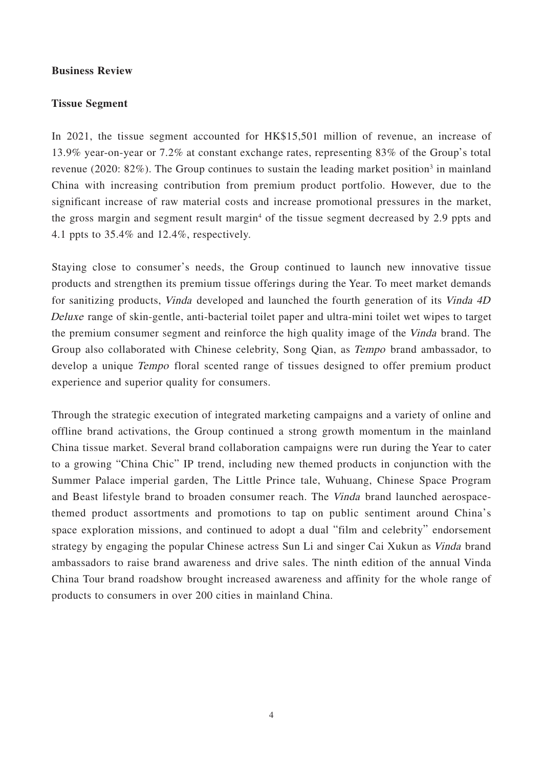#### **Business Review**

#### **Tissue Segment**

In 2021, the tissue segment accounted for HK\$15,501 million of revenue, an increase of 13.9% year-on-year or 7.2% at constant exchange rates, representing 83% of the Group's total revenue (2020: 82%). The Group continues to sustain the leading market position<sup>3</sup> in mainland China with increasing contribution from premium product portfolio. However, due to the significant increase of raw material costs and increase promotional pressures in the market, the gross margin and segment result margin<sup>4</sup> of the tissue segment decreased by 2.9 ppts and 4.1 ppts to 35.4% and 12.4%, respectively.

Staying close to consumer's needs, the Group continued to launch new innovative tissue products and strengthen its premium tissue offerings during the Year. To meet market demands for sanitizing products, Vinda developed and launched the fourth generation of its Vinda 4D Deluxe range of skin-gentle, anti-bacterial toilet paper and ultra-mini toilet wet wipes to target the premium consumer segment and reinforce the high quality image of the Vinda brand. The Group also collaborated with Chinese celebrity, Song Qian, as Tempo brand ambassador, to develop a unique *Tempo* floral scented range of tissues designed to offer premium product experience and superior quality for consumers.

Through the strategic execution of integrated marketing campaigns and a variety of online and offline brand activations, the Group continued a strong growth momentum in the mainland China tissue market. Several brand collaboration campaigns were run during the Year to cater to a growing "China Chic" IP trend, including new themed products in conjunction with the Summer Palace imperial garden, The Little Prince tale, Wuhuang, Chinese Space Program and Beast lifestyle brand to broaden consumer reach. The Vinda brand launched aerospacethemed product assortments and promotions to tap on public sentiment around China's space exploration missions, and continued to adopt a dual "film and celebrity" endorsement strategy by engaging the popular Chinese actress Sun Li and singer Cai Xukun as Vinda brand ambassadors to raise brand awareness and drive sales. The ninth edition of the annual Vinda China Tour brand roadshow brought increased awareness and affinity for the whole range of products to consumers in over 200 cities in mainland China.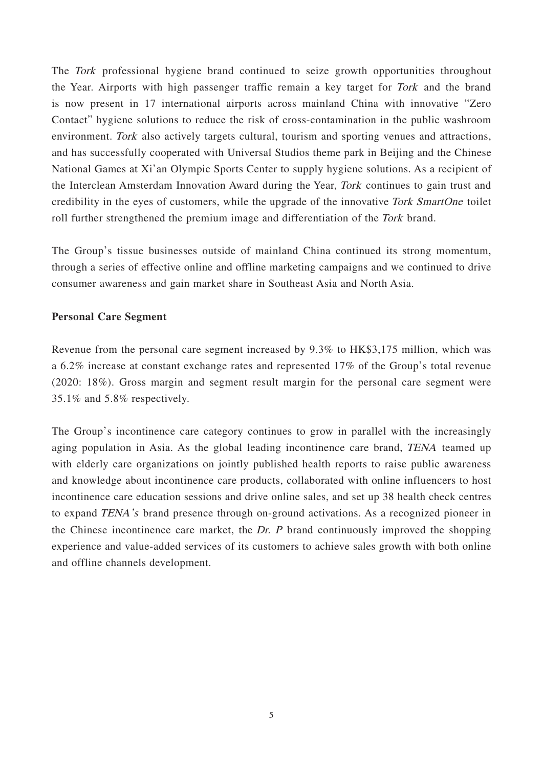The Tork professional hygiene brand continued to seize growth opportunities throughout the Year. Airports with high passenger traffic remain a key target for Tork and the brand is now present in 17 international airports across mainland China with innovative "Zero Contact" hygiene solutions to reduce the risk of cross-contamination in the public washroom environment. Tork also actively targets cultural, tourism and sporting venues and attractions, and has successfully cooperated with Universal Studios theme park in Beijing and the Chinese National Games at Xi'an Olympic Sports Center to supply hygiene solutions. As a recipient of the Interclean Amsterdam Innovation Award during the Year, Tork continues to gain trust and credibility in the eyes of customers, while the upgrade of the innovative Tork SmartOne toilet roll further strengthened the premium image and differentiation of the Tork brand.

The Group's tissue businesses outside of mainland China continued its strong momentum, through a series of effective online and offline marketing campaigns and we continued to drive consumer awareness and gain market share in Southeast Asia and North Asia.

#### **Personal Care Segment**

Revenue from the personal care segment increased by 9.3% to HK\$3,175 million, which was a 6.2% increase at constant exchange rates and represented 17% of the Group's total revenue (2020: 18%). Gross margin and segment result margin for the personal care segment were 35.1% and 5.8% respectively.

The Group's incontinence care category continues to grow in parallel with the increasingly aging population in Asia. As the global leading incontinence care brand, TENA teamed up with elderly care organizations on jointly published health reports to raise public awareness and knowledge about incontinence care products, collaborated with online influencers to host incontinence care education sessions and drive online sales, and set up 38 health check centres to expand TENA's brand presence through on-ground activations. As a recognized pioneer in the Chinese incontinence care market, the Dr.  $P$  brand continuously improved the shopping experience and value-added services of its customers to achieve sales growth with both online and offline channels development.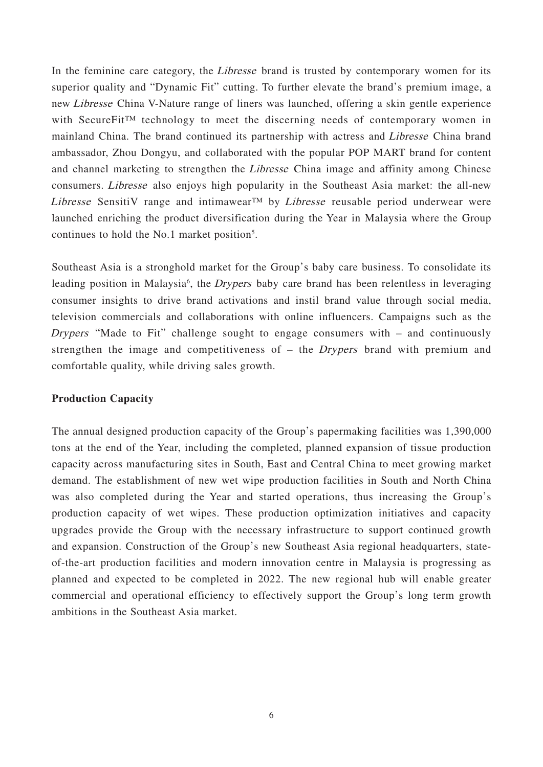In the feminine care category, the *Libresse* brand is trusted by contemporary women for its superior quality and "Dynamic Fit" cutting. To further elevate the brand's premium image, a new Libresse China V-Nature range of liners was launched, offering a skin gentle experience with SecureFit™ technology to meet the discerning needs of contemporary women in mainland China. The brand continued its partnership with actress and Libresse China brand ambassador, Zhou Dongyu, and collaborated with the popular POP MART brand for content and channel marketing to strengthen the Libresse China image and affinity among Chinese consumers. Libresse also enjoys high popularity in the Southeast Asia market: the all-new Libresse SensitiV range and intimawear<sup>TM</sup> by Libresse reusable period underwear were launched enriching the product diversification during the Year in Malaysia where the Group continues to hold the No.1 market position<sup>5</sup>.

Southeast Asia is a stronghold market for the Group's baby care business. To consolidate its leading position in Malaysia<sup>6</sup>, the *Drypers* baby care brand has been relentless in leveraging consumer insights to drive brand activations and instil brand value through social media, television commercials and collaborations with online influencers. Campaigns such as the Drypers "Made to Fit" challenge sought to engage consumers with – and continuously strengthen the image and competitiveness of – the Drypers brand with premium and comfortable quality, while driving sales growth.

# **Production Capacity**

The annual designed production capacity of the Group's papermaking facilities was 1,390,000 tons at the end of the Year, including the completed, planned expansion of tissue production capacity across manufacturing sites in South, East and Central China to meet growing market demand. The establishment of new wet wipe production facilities in South and North China was also completed during the Year and started operations, thus increasing the Group's production capacity of wet wipes. These production optimization initiatives and capacity upgrades provide the Group with the necessary infrastructure to support continued growth and expansion. Construction of the Group's new Southeast Asia regional headquarters, stateof-the-art production facilities and modern innovation centre in Malaysia is progressing as planned and expected to be completed in 2022. The new regional hub will enable greater commercial and operational efficiency to effectively support the Group's long term growth ambitions in the Southeast Asia market.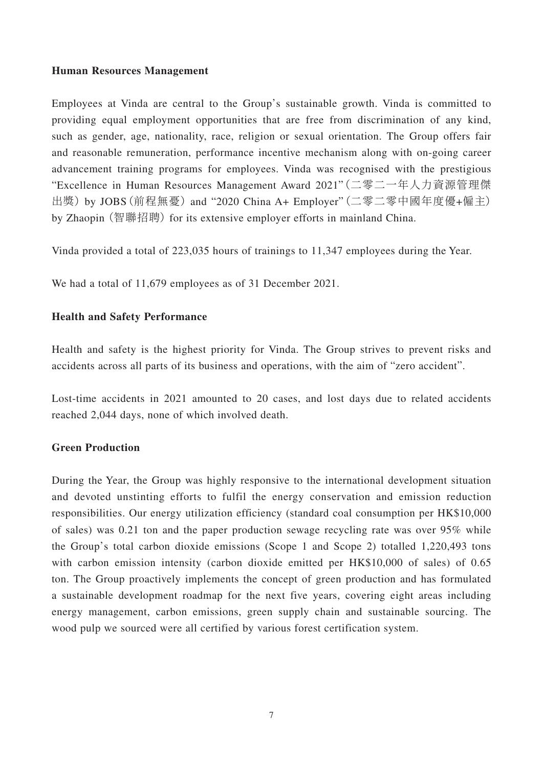# **Human Resources Management**

Employees at Vinda are central to the Group's sustainable growth. Vinda is committed to providing equal employment opportunities that are free from discrimination of any kind, such as gender, age, nationality, race, religion or sexual orientation. The Group offers fair and reasonable remuneration, performance incentive mechanism along with on-going career advancement training programs for employees. Vinda was recognised with the prestigious "Excellence in Human Resources Management Award 2021"(二零二一年人力資源管理傑 出獎) by JOBS(前程無憂) and "2020 China A+ Employer"(二零二零中國年度優+僱主) by Zhaopin (智聯招聘) for its extensive employer efforts in mainland China.

Vinda provided a total of 223,035 hours of trainings to 11,347 employees during the Year.

We had a total of 11,679 employees as of 31 December 2021.

# **Health and Safety Performance**

Health and safety is the highest priority for Vinda. The Group strives to prevent risks and accidents across all parts of its business and operations, with the aim of "zero accident".

Lost-time accidents in 2021 amounted to 20 cases, and lost days due to related accidents reached 2,044 days, none of which involved death.

# **Green Production**

During the Year, the Group was highly responsive to the international development situation and devoted unstinting efforts to fulfil the energy conservation and emission reduction responsibilities. Our energy utilization efficiency (standard coal consumption per HK\$10,000 of sales) was 0.21 ton and the paper production sewage recycling rate was over 95% while the Group's total carbon dioxide emissions (Scope 1 and Scope 2) totalled 1,220,493 tons with carbon emission intensity (carbon dioxide emitted per HK\$10,000 of sales) of 0.65 ton. The Group proactively implements the concept of green production and has formulated a sustainable development roadmap for the next five years, covering eight areas including energy management, carbon emissions, green supply chain and sustainable sourcing. The wood pulp we sourced were all certified by various forest certification system.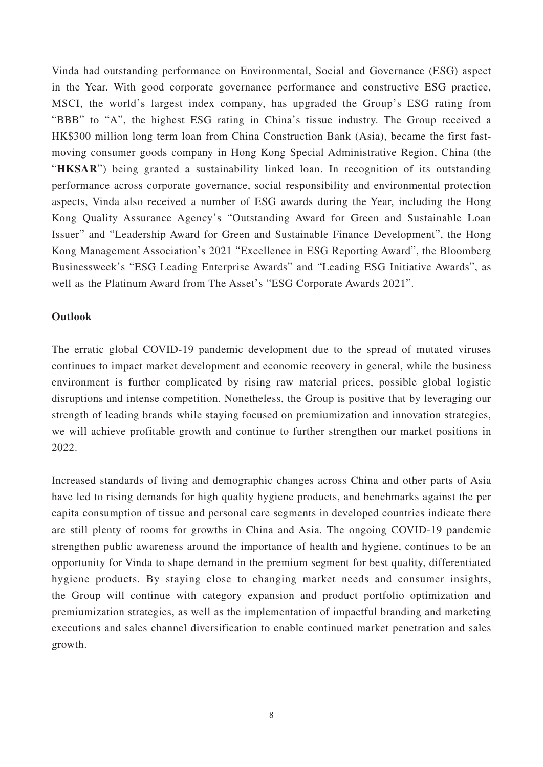Vinda had outstanding performance on Environmental, Social and Governance (ESG) aspect in the Year. With good corporate governance performance and constructive ESG practice, MSCI, the world's largest index company, has upgraded the Group's ESG rating from "BBB" to "A", the highest ESG rating in China's tissue industry. The Group received a HK\$300 million long term loan from China Construction Bank (Asia), became the first fastmoving consumer goods company in Hong Kong Special Administrative Region, China (the "HKSAR") being granted a sustainability linked loan. In recognition of its outstanding performance across corporate governance, social responsibility and environmental protection aspects, Vinda also received a number of ESG awards during the Year, including the Hong Kong Quality Assurance Agency's "Outstanding Award for Green and Sustainable Loan Issuer" and "Leadership Award for Green and Sustainable Finance Development", the Hong Kong Management Association's 2021 "Excellence in ESG Reporting Award", the Bloomberg Businessweek's "ESG Leading Enterprise Awards" and "Leading ESG Initiative Awards", as well as the Platinum Award from The Asset's "ESG Corporate Awards 2021".

# **Outlook**

The erratic global COVID-19 pandemic development due to the spread of mutated viruses continues to impact market development and economic recovery in general, while the business environment is further complicated by rising raw material prices, possible global logistic disruptions and intense competition. Nonetheless, the Group is positive that by leveraging our strength of leading brands while staying focused on premiumization and innovation strategies, we will achieve profitable growth and continue to further strengthen our market positions in 2022.

Increased standards of living and demographic changes across China and other parts of Asia have led to rising demands for high quality hygiene products, and benchmarks against the per capita consumption of tissue and personal care segments in developed countries indicate there are still plenty of rooms for growths in China and Asia. The ongoing COVID-19 pandemic strengthen public awareness around the importance of health and hygiene, continues to be an opportunity for Vinda to shape demand in the premium segment for best quality, differentiated hygiene products. By staying close to changing market needs and consumer insights, the Group will continue with category expansion and product portfolio optimization and premiumization strategies, as well as the implementation of impactful branding and marketing executions and sales channel diversification to enable continued market penetration and sales growth.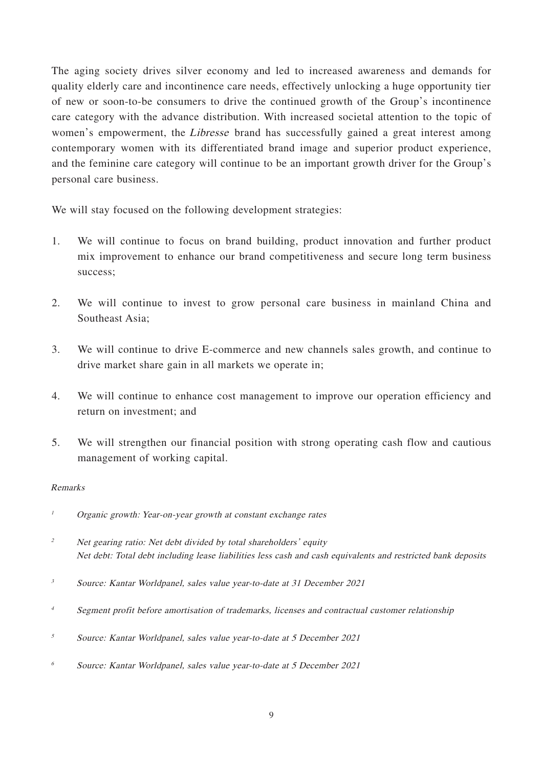The aging society drives silver economy and led to increased awareness and demands for quality elderly care and incontinence care needs, effectively unlocking a huge opportunity tier of new or soon-to-be consumers to drive the continued growth of the Group's incontinence care category with the advance distribution. With increased societal attention to the topic of women's empowerment, the *Libresse* brand has successfully gained a great interest among contemporary women with its differentiated brand image and superior product experience, and the feminine care category will continue to be an important growth driver for the Group's personal care business.

We will stay focused on the following development strategies:

- 1. We will continue to focus on brand building, product innovation and further product mix improvement to enhance our brand competitiveness and secure long term business success;
- 2. We will continue to invest to grow personal care business in mainland China and Southeast Asia;
- 3. We will continue to drive E-commerce and new channels sales growth, and continue to drive market share gain in all markets we operate in;
- 4. We will continue to enhance cost management to improve our operation efficiency and return on investment; and
- 5. We will strengthen our financial position with strong operating cash flow and cautious management of working capital.

#### Remarks

- <sup>1</sup> Organic growth: Year-on-year growth at constant exchange rates
- <sup>2</sup> Net gearing ratio: Net debt divided by total shareholders' equity Net debt: Total debt including lease liabilities less cash and cash equivalents and restricted bank deposits
- <sup>3</sup> Source: Kantar Worldpanel, sales value year-to-date at 31 December 2021
- <sup>4</sup> Segment profit before amortisation of trademarks, licenses and contractual customer relationship
- <sup>5</sup> Source: Kantar Worldpanel, sales value year-to-date at 5 December 2021
- 6 Source: Kantar Worldpanel, sales value year-to-date at 5 December 2021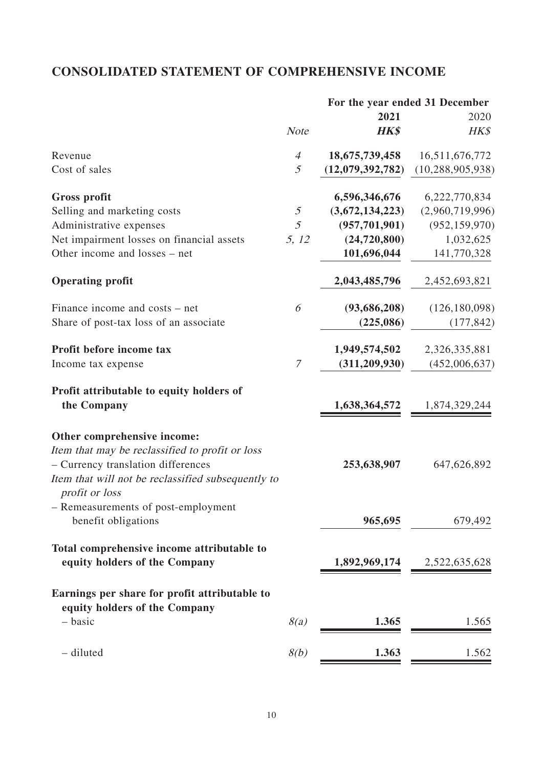# **CONSOLIDATED STATEMENT OF COMPREHENSIVE INCOME**

|                                                                                                                                                                                              |                                                                         |                  | For the year ended 31 December |  |
|----------------------------------------------------------------------------------------------------------------------------------------------------------------------------------------------|-------------------------------------------------------------------------|------------------|--------------------------------|--|
|                                                                                                                                                                                              |                                                                         | 2021             | 2020                           |  |
|                                                                                                                                                                                              | <b>Note</b>                                                             | <b>HK\$</b>      | HK\$                           |  |
| Revenue                                                                                                                                                                                      | $\overline{4}$                                                          | 18,675,739,458   | 16,511,676,772                 |  |
| Cost of sales                                                                                                                                                                                | 5                                                                       | (12,079,392,782) | (10, 288, 905, 938)            |  |
| <b>Gross profit</b>                                                                                                                                                                          |                                                                         | 6,596,346,676    | 6,222,770,834                  |  |
| Selling and marketing costs                                                                                                                                                                  | $\mathfrak{H}% _{F}=\mathfrak{H}_{F}\!\left( \mathfrak{H}_{F}\right) ,$ | (3,672,134,223)  | (2,960,719,996)                |  |
| Administrative expenses                                                                                                                                                                      | 5                                                                       | (957, 701, 901)  | (952, 159, 970)                |  |
| Net impairment losses on financial assets                                                                                                                                                    | 5, 12                                                                   | (24, 720, 800)   | 1,032,625                      |  |
| Other income and losses – net                                                                                                                                                                |                                                                         | 101,696,044      | 141,770,328                    |  |
| <b>Operating profit</b>                                                                                                                                                                      |                                                                         | 2,043,485,796    | 2,452,693,821                  |  |
| Finance income and costs – net                                                                                                                                                               | 6                                                                       | (93,686,208)     | (126, 180, 098)                |  |
| Share of post-tax loss of an associate                                                                                                                                                       |                                                                         | (225,086)        | (177, 842)                     |  |
| Profit before income tax                                                                                                                                                                     |                                                                         | 1,949,574,502    | 2,326,335,881                  |  |
| Income tax expense                                                                                                                                                                           | $\mathcal{I}$                                                           | (311, 209, 930)  | (452,006,637)                  |  |
| Profit attributable to equity holders of                                                                                                                                                     |                                                                         |                  |                                |  |
| the Company                                                                                                                                                                                  |                                                                         | 1,638,364,572    | 1,874,329,244                  |  |
| Other comprehensive income:<br>Item that may be reclassified to profit or loss<br>- Currency translation differences<br>Item that will not be reclassified subsequently to<br>profit or loss |                                                                         | 253,638,907      | 647,626,892                    |  |
| - Remeasurements of post-employment<br>benefit obligations                                                                                                                                   |                                                                         | 965,695          | 679,492                        |  |
| Total comprehensive income attributable to<br>equity holders of the Company                                                                                                                  |                                                                         | 1,892,969,174    | 2,522,635,628                  |  |
| Earnings per share for profit attributable to<br>equity holders of the Company                                                                                                               |                                                                         |                  |                                |  |
| - basic                                                                                                                                                                                      | 8(a)                                                                    | 1.365            | 1.565                          |  |
| - diluted                                                                                                                                                                                    | 8(b)                                                                    | 1.363            | 1.562                          |  |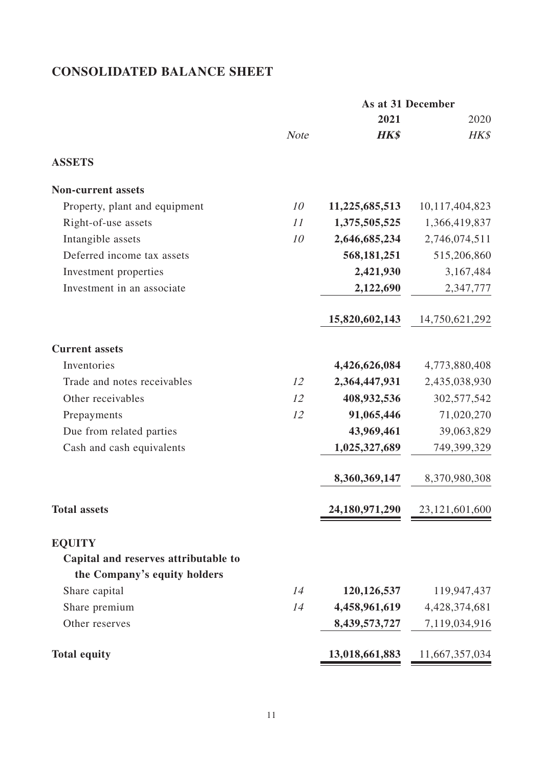# **CONSOLIDATED BALANCE SHEET**

|                                      | As at 31 December |                |                |
|--------------------------------------|-------------------|----------------|----------------|
|                                      |                   | 2021           | 2020           |
|                                      | <b>Note</b>       | <b>HK\$</b>    | HK\$           |
| <b>ASSETS</b>                        |                   |                |                |
| <b>Non-current assets</b>            |                   |                |                |
| Property, plant and equipment        | 10                | 11,225,685,513 | 10,117,404,823 |
| Right-of-use assets                  | 11                | 1,375,505,525  | 1,366,419,837  |
| Intangible assets                    | 10                | 2,646,685,234  | 2,746,074,511  |
| Deferred income tax assets           |                   | 568, 181, 251  | 515,206,860    |
| Investment properties                |                   | 2,421,930      | 3,167,484      |
| Investment in an associate           |                   | 2,122,690      | 2,347,777      |
|                                      |                   | 15,820,602,143 | 14,750,621,292 |
| <b>Current assets</b>                |                   |                |                |
| Inventories                          |                   | 4,426,626,084  | 4,773,880,408  |
| Trade and notes receivables          | 12                | 2,364,447,931  | 2,435,038,930  |
| Other receivables                    | 12                | 408,932,536    | 302,577,542    |
| Prepayments                          | 12                | 91,065,446     | 71,020,270     |
| Due from related parties             |                   | 43,969,461     | 39,063,829     |
| Cash and cash equivalents            |                   | 1,025,327,689  | 749,399,329    |
|                                      |                   | 8,360,369,147  | 8,370,980,308  |
| <b>Total assets</b>                  |                   | 24,180,971,290 | 23,121,601,600 |
| <b>EQUITY</b>                        |                   |                |                |
| Capital and reserves attributable to |                   |                |                |
| the Company's equity holders         |                   |                |                |
| Share capital                        | 14                | 120, 126, 537  | 119,947,437    |
| Share premium                        | 14                | 4,458,961,619  | 4,428,374,681  |
| Other reserves                       |                   | 8,439,573,727  | 7,119,034,916  |
| <b>Total equity</b>                  |                   | 13,018,661,883 | 11,667,357,034 |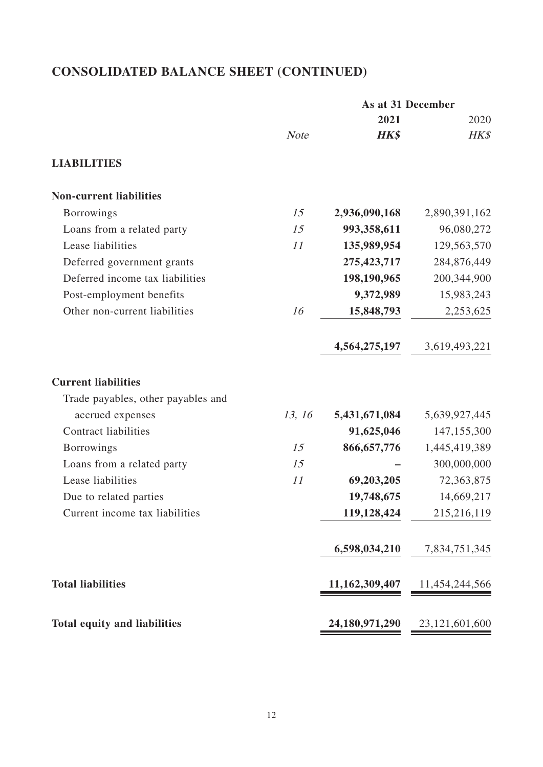# **CONSOLIDATED BALANCE SHEET (CONTINUED)**

|                                     |             |                   | As at 31 December |
|-------------------------------------|-------------|-------------------|-------------------|
|                                     |             | 2021              | 2020              |
|                                     | <b>Note</b> | <b>HK\$</b>       | HK\$              |
| <b>LIABILITIES</b>                  |             |                   |                   |
| <b>Non-current liabilities</b>      |             |                   |                   |
| <b>Borrowings</b>                   | 15          | 2,936,090,168     | 2,890,391,162     |
| Loans from a related party          | 15          | 993,358,611       | 96,080,272        |
| Lease liabilities                   | 11          | 135,989,954       | 129,563,570       |
| Deferred government grants          |             | 275, 423, 717     | 284,876,449       |
| Deferred income tax liabilities     |             | 198,190,965       | 200,344,900       |
| Post-employment benefits            |             | 9,372,989         | 15,983,243        |
| Other non-current liabilities       | 16          | 15,848,793        | 2,253,625         |
|                                     |             | 4,564,275,197     | 3,619,493,221     |
| <b>Current liabilities</b>          |             |                   |                   |
| Trade payables, other payables and  |             |                   |                   |
| accrued expenses                    | 13, 16      | 5,431,671,084     | 5,639,927,445     |
| <b>Contract liabilities</b>         |             | 91,625,046        | 147,155,300       |
| <b>Borrowings</b>                   | 15          | 866, 657, 776     | 1,445,419,389     |
| Loans from a related party          | 15          |                   | 300,000,000       |
| Lease liabilities                   | 11          | 69,203,205        | 72,363,875        |
| Due to related parties              |             | 19,748,675        | 14,669,217        |
| Current income tax liabilities      |             | 119,128,424       | 215,216,119       |
|                                     |             | 6,598,034,210     | 7,834,751,345     |
| <b>Total liabilities</b>            |             | 11,162,309,407    | 11,454,244,566    |
| <b>Total equity and liabilities</b> |             | 24, 180, 971, 290 | 23,121,601,600    |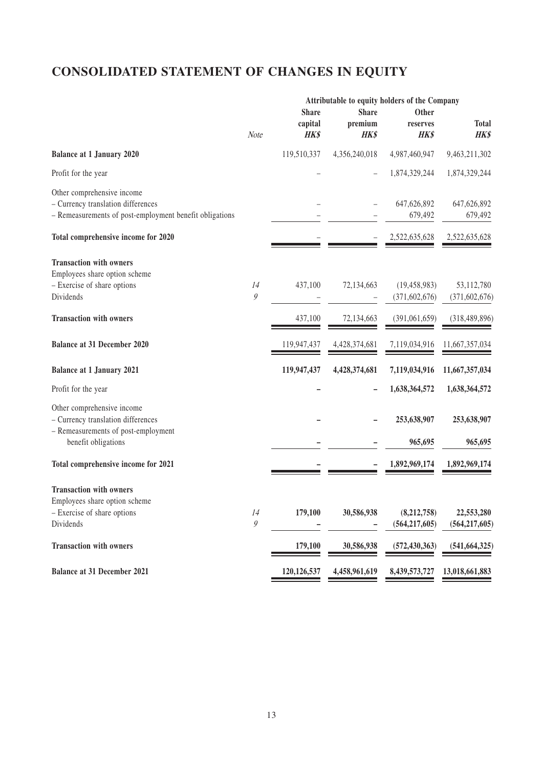# **CONSOLIDATED STATEMENT OF CHANGES IN EQUITY**

|                                                         |                  |               |               | Attributable to equity holders of the Company |                 |
|---------------------------------------------------------|------------------|---------------|---------------|-----------------------------------------------|-----------------|
|                                                         |                  | <b>Share</b>  | <b>Share</b>  | Other                                         |                 |
|                                                         |                  | capital       | premium       | reserves                                      | <b>Total</b>    |
|                                                         | Note             | <b>HK\$</b>   | <b>HK\$</b>   | <b>HK\$</b>                                   | HK\$            |
| <b>Balance at 1 January 2020</b>                        |                  | 119,510,337   | 4,356,240,018 | 4,987,460,947                                 | 9,463,211,302   |
| Profit for the year                                     |                  |               |               | 1,874,329,244                                 | 1,874,329,244   |
| Other comprehensive income                              |                  |               |               |                                               |                 |
| - Currency translation differences                      |                  |               |               | 647,626,892                                   | 647,626,892     |
| - Remeasurements of post-employment benefit obligations |                  |               |               | 679,492                                       | 679,492         |
| Total comprehensive income for 2020                     |                  |               |               | 2,522,635,628                                 | 2,522,635,628   |
|                                                         |                  |               |               |                                               |                 |
| <b>Transaction with owners</b>                          |                  |               |               |                                               |                 |
| Employees share option scheme                           |                  |               |               |                                               |                 |
| - Exercise of share options                             | 14               | 437,100       | 72,134,663    | (19, 458, 983)                                | 53,112,780      |
| Dividends                                               | $\boldsymbol{g}$ |               |               | (371, 602, 676)                               | (371, 602, 676) |
|                                                         |                  |               |               |                                               |                 |
| <b>Transaction with owners</b>                          |                  | 437,100       | 72,134,663    | (391,061,659)                                 | (318, 489, 896) |
| <b>Balance at 31 December 2020</b>                      |                  | 119,947,437   | 4,428,374,681 | 7,119,034,916                                 | 11,667,357,034  |
|                                                         |                  |               |               |                                               |                 |
| <b>Balance at 1 January 2021</b>                        |                  | 119,947,437   | 4,428,374,681 | 7,119,034,916                                 | 11,667,357,034  |
| Profit for the year                                     |                  |               |               | 1,638,364,572                                 | 1,638,364,572   |
| Other comprehensive income                              |                  |               |               |                                               |                 |
| - Currency translation differences                      |                  |               |               | 253,638,907                                   | 253,638,907     |
| - Remeasurements of post-employment                     |                  |               |               |                                               |                 |
| benefit obligations                                     |                  |               |               | 965,695                                       | 965,695         |
| Total comprehensive income for 2021                     |                  |               |               | 1,892,969,174                                 | 1,892,969,174   |
|                                                         |                  |               |               |                                               |                 |
| <b>Transaction with owners</b>                          |                  |               |               |                                               |                 |
| Employees share option scheme                           |                  |               |               |                                               |                 |
| - Exercise of share options                             | 14               | 179,100       | 30,586,938    | (8,212,758)                                   | 22,553,280      |
| Dividends                                               | 9                |               |               | (564, 217, 605)                               | (564, 217, 605) |
| <b>Transaction with owners</b>                          |                  | 179,100       | 30,586,938    | (572, 430, 363)                               | (541, 664, 325) |
|                                                         |                  |               |               |                                               |                 |
| <b>Balance at 31 December 2021</b>                      |                  | 120, 126, 537 | 4,458,961,619 | 8,439,573,727                                 | 13,018,661,883  |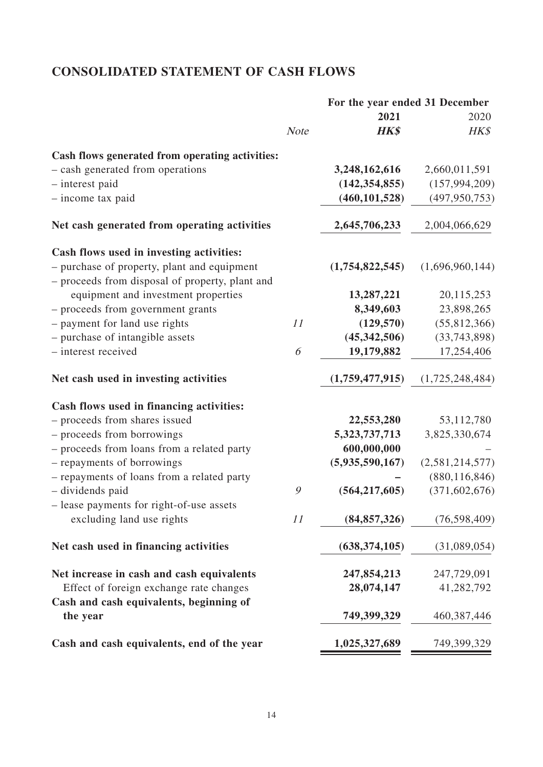# **CONSOLIDATED STATEMENT OF CASH FLOWS**

|                                                                                    |             | For the year ended 31 December |                 |
|------------------------------------------------------------------------------------|-------------|--------------------------------|-----------------|
|                                                                                    |             | 2021                           | 2020            |
|                                                                                    | <b>Note</b> | <b>HK\$</b>                    | HK\$            |
| Cash flows generated from operating activities:                                    |             |                                |                 |
| - cash generated from operations                                                   |             | 3,248,162,616                  | 2,660,011,591   |
| - interest paid                                                                    |             | (142, 354, 855)                | (157, 994, 209) |
| - income tax paid                                                                  |             | (460, 101, 528)                | (497, 950, 753) |
| Net cash generated from operating activities                                       |             | 2,645,706,233                  | 2,004,066,629   |
| Cash flows used in investing activities:                                           |             |                                |                 |
| - purchase of property, plant and equipment                                        |             | (1,754,822,545)                | (1,696,960,144) |
| - proceeds from disposal of property, plant and                                    |             |                                |                 |
| equipment and investment properties                                                |             | 13,287,221                     | 20, 115, 253    |
| - proceeds from government grants                                                  |             | 8,349,603                      | 23,898,265      |
| - payment for land use rights                                                      | 11          | (129, 570)                     | (55,812,366)    |
| - purchase of intangible assets                                                    |             | (45,342,506)                   | (33,743,898)    |
| - interest received                                                                | 6           | 19,179,882                     | 17,254,406      |
| Net cash used in investing activities                                              |             | (1,759,477,915)                | (1,725,248,484) |
| Cash flows used in financing activities:                                           |             |                                |                 |
| - proceeds from shares issued                                                      |             | 22,553,280                     | 53, 112, 780    |
| - proceeds from borrowings                                                         |             | 5, 323, 737, 713               | 3,825,330,674   |
| - proceeds from loans from a related party                                         |             | 600,000,000                    |                 |
| - repayments of borrowings                                                         |             | (5,935,590,167)                | (2,581,214,577) |
| - repayments of loans from a related party                                         |             |                                | (880, 116, 846) |
| - dividends paid                                                                   | 9           | (564, 217, 605)                | (371, 602, 676) |
| - lease payments for right-of-use assets<br>excluding land use rights              | 11          | (84, 857, 326)                 | (76, 598, 409)  |
|                                                                                    |             |                                |                 |
| Net cash used in financing activities                                              |             | (638, 374, 105)                | (31,089,054)    |
| Net increase in cash and cash equivalents                                          |             | 247,854,213                    | 247,729,091     |
| Effect of foreign exchange rate changes<br>Cash and cash equivalents, beginning of |             | 28,074,147                     | 41,282,792      |
| the year                                                                           |             | 749,399,329                    | 460, 387, 446   |
| Cash and cash equivalents, end of the year                                         |             | 1,025,327,689                  | 749,399,329     |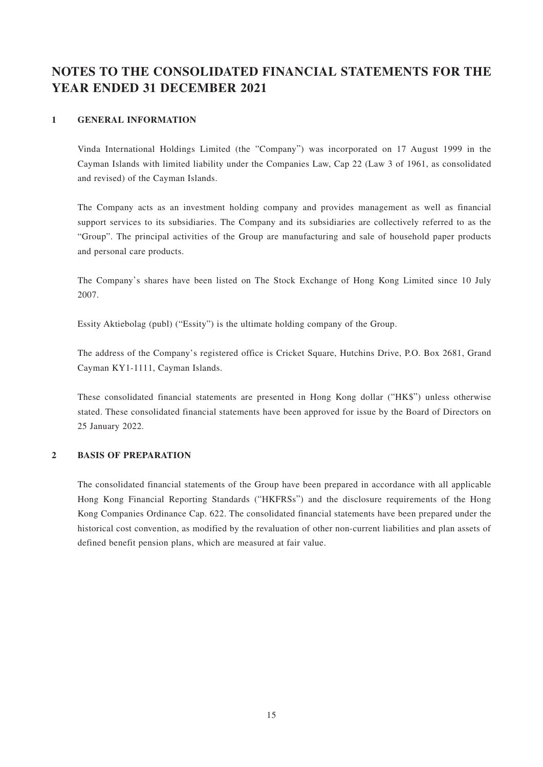# **NOTES TO THE CONSOLIDATED FINANCIAL STATEMENTS FOR THE YEAR ENDED 31 DECEMBER 2021**

#### **1 GENERAL INFORMATION**

Vinda International Holdings Limited (the "Company") was incorporated on 17 August 1999 in the Cayman Islands with limited liability under the Companies Law, Cap 22 (Law 3 of 1961, as consolidated and revised) of the Cayman Islands.

The Company acts as an investment holding company and provides management as well as financial support services to its subsidiaries. The Company and its subsidiaries are collectively referred to as the "Group". The principal activities of the Group are manufacturing and sale of household paper products and personal care products.

The Company's shares have been listed on The Stock Exchange of Hong Kong Limited since 10 July 2007.

Essity Aktiebolag (publ) ("Essity") is the ultimate holding company of the Group.

The address of the Company's registered office is Cricket Square, Hutchins Drive, P.O. Box 2681, Grand Cayman KY1-1111, Cayman Islands.

These consolidated financial statements are presented in Hong Kong dollar ("HK\$") unless otherwise stated. These consolidated financial statements have been approved for issue by the Board of Directors on 25 January 2022.

#### **2 BASIS OF PREPARATION**

The consolidated financial statements of the Group have been prepared in accordance with all applicable Hong Kong Financial Reporting Standards ("HKFRSs") and the disclosure requirements of the Hong Kong Companies Ordinance Cap. 622. The consolidated financial statements have been prepared under the historical cost convention, as modified by the revaluation of other non-current liabilities and plan assets of defined benefit pension plans, which are measured at fair value.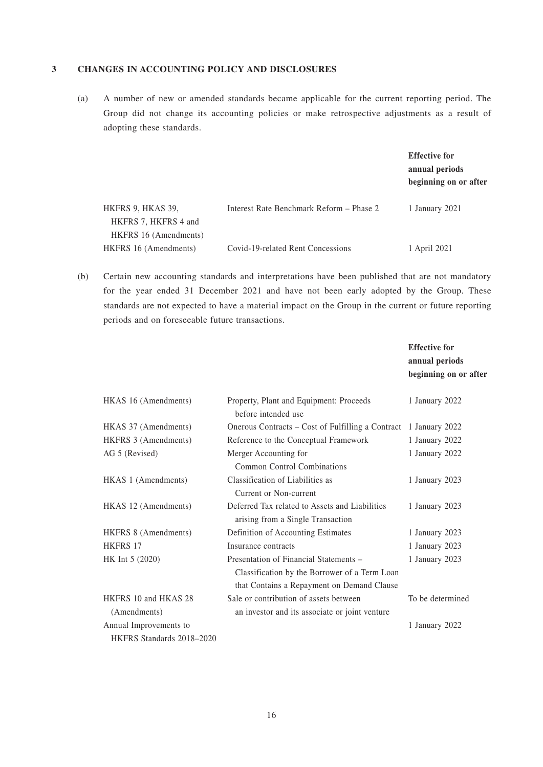#### **3 CHANGES IN ACCOUNTING POLICY AND DISCLOSURES**

(a) A number of new or amended standards became applicable for the current reporting period. The Group did not change its accounting policies or make retrospective adjustments as a result of adopting these standards.

|                       |                                          | <b>Effective for</b><br>annual periods<br>beginning on or after |
|-----------------------|------------------------------------------|-----------------------------------------------------------------|
| HKFRS 9, HKAS 39,     | Interest Rate Benchmark Reform – Phase 2 | 1 January 2021                                                  |
| HKFRS 7, HKFRS 4 and  |                                          |                                                                 |
| HKFRS 16 (Amendments) |                                          |                                                                 |
| HKFRS 16 (Amendments) | Covid-19-related Rent Concessions        | 1 April 2021                                                    |

(b) Certain new accounting standards and interpretations have been published that are not mandatory for the year ended 31 December 2021 and have not been early adopted by the Group. These standards are not expected to have a material impact on the Group in the current or future reporting periods and on foreseeable future transactions.

|                           |                                                                                                                                       | <b>Effective for</b><br>annual periods<br>beginning on or after |
|---------------------------|---------------------------------------------------------------------------------------------------------------------------------------|-----------------------------------------------------------------|
| HKAS 16 (Amendments)      | Property, Plant and Equipment: Proceeds<br>before intended use                                                                        | 1 January 2022                                                  |
| HKAS 37 (Amendments)      | Onerous Contracts – Cost of Fulfilling a Contract                                                                                     | 1 January 2022                                                  |
| HKFRS 3 (Amendments)      | Reference to the Conceptual Framework                                                                                                 | 1 January 2022                                                  |
| AG 5 (Revised)            | Merger Accounting for<br><b>Common Control Combinations</b>                                                                           | 1 January 2022                                                  |
| HKAS 1 (Amendments)       | Classification of Liabilities as<br>Current or Non-current                                                                            | 1 January 2023                                                  |
| HKAS 12 (Amendments)      | Deferred Tax related to Assets and Liabilities<br>arising from a Single Transaction                                                   | 1 January 2023                                                  |
| HKFRS 8 (Amendments)      | Definition of Accounting Estimates                                                                                                    | 1 January 2023                                                  |
| <b>HKFRS 17</b>           | Insurance contracts                                                                                                                   | 1 January 2023                                                  |
| HK Int 5 (2020)           | Presentation of Financial Statements -<br>Classification by the Borrower of a Term Loan<br>that Contains a Repayment on Demand Clause | 1 January 2023                                                  |
| HKFRS 10 and HKAS 28      | Sale or contribution of assets between                                                                                                | To be determined                                                |
| (Amendments)              | an investor and its associate or joint venture                                                                                        |                                                                 |
| Annual Improvements to    |                                                                                                                                       | 1 January 2022                                                  |
| HKFRS Standards 2018-2020 |                                                                                                                                       |                                                                 |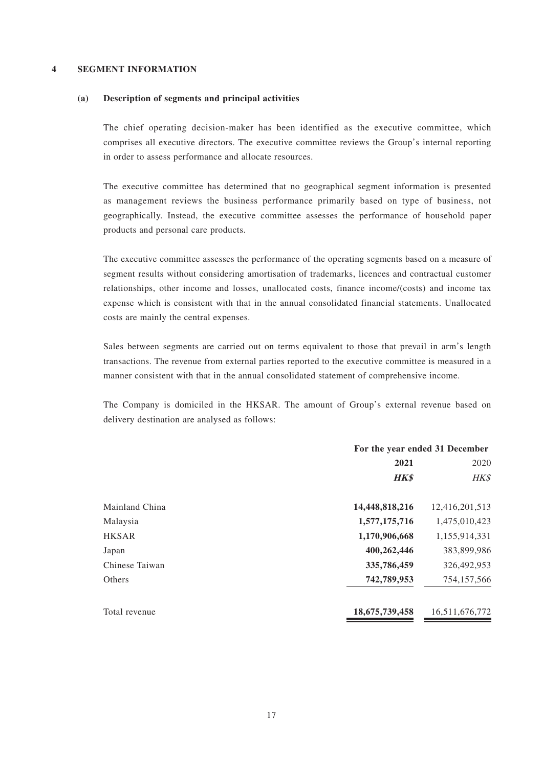#### **4 SEGMENT INFORMATION**

#### **(a) Description of segments and principal activities**

The chief operating decision-maker has been identified as the executive committee, which comprises all executive directors. The executive committee reviews the Group's internal reporting in order to assess performance and allocate resources.

The executive committee has determined that no geographical segment information is presented as management reviews the business performance primarily based on type of business, not geographically. Instead, the executive committee assesses the performance of household paper products and personal care products.

The executive committee assesses the performance of the operating segments based on a measure of segment results without considering amortisation of trademarks, licences and contractual customer relationships, other income and losses, unallocated costs, finance income/(costs) and income tax expense which is consistent with that in the annual consolidated financial statements. Unallocated costs are mainly the central expenses.

Sales between segments are carried out on terms equivalent to those that prevail in arm's length transactions. The revenue from external parties reported to the executive committee is measured in a manner consistent with that in the annual consolidated statement of comprehensive income.

The Company is domiciled in the HKSAR. The amount of Group's external revenue based on delivery destination are analysed as follows:

|                | For the year ended 31 December |                |  |
|----------------|--------------------------------|----------------|--|
|                | 2021                           | 2020           |  |
|                | <b>HK\$</b>                    | HK\$           |  |
| Mainland China | 14,448,818,216                 | 12,416,201,513 |  |
| Malaysia       | 1,577,175,716                  | 1,475,010,423  |  |
| <b>HKSAR</b>   | 1,170,906,668                  | 1,155,914,331  |  |
| Japan          | 400,262,446                    | 383,899,986    |  |
| Chinese Taiwan | 335,786,459                    | 326,492,953    |  |
| Others         | 742,789,953                    | 754, 157, 566  |  |
| Total revenue  | 18,675,739,458                 | 16,511,676,772 |  |
|                |                                |                |  |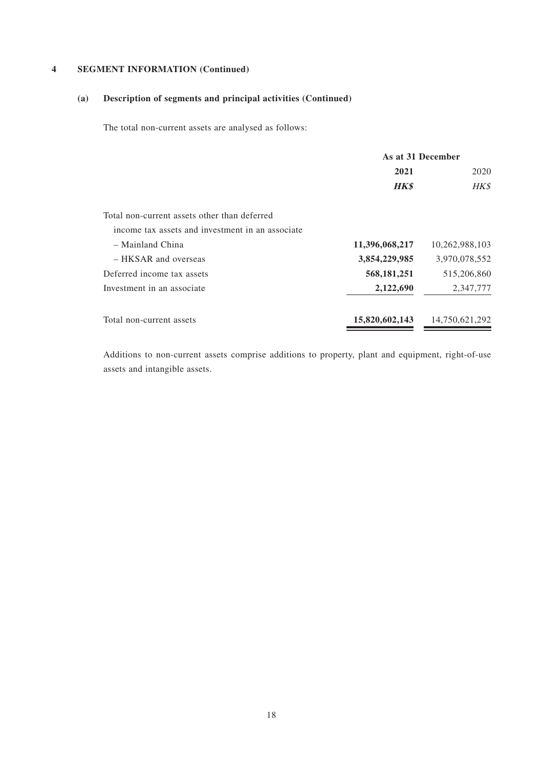# **(a) Description of segments and principal activities (Continued)**

The total non-current assets are analysed as follows:

|                                                  | As at 31 December |                |
|--------------------------------------------------|-------------------|----------------|
|                                                  | 2021              | 2020           |
|                                                  | <b>HK\$</b>       | HK\$           |
| Total non-current assets other than deferred     |                   |                |
| income tax assets and investment in an associate |                   |                |
| - Mainland China                                 | 11,396,068,217    | 10,262,988,103 |
| - HKSAR and overseas                             | 3,854,229,985     | 3,970,078,552  |
| Deferred income tax assets                       | 568, 181, 251     | 515,206,860    |
| Investment in an associate                       | 2,122,690         | 2,347,777      |
| Total non-current assets                         | 15,820,602,143    | 14,750,621,292 |

Additions to non-current assets comprise additions to property, plant and equipment, right-of-use assets and intangible assets.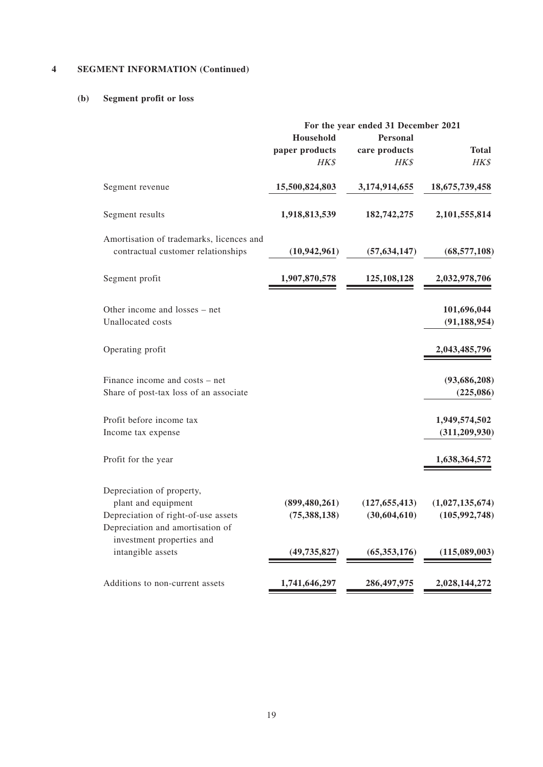# **(b) Segment profit or loss**

| For the year ended 31 December 2021 |                                                                       |                                                         |
|-------------------------------------|-----------------------------------------------------------------------|---------------------------------------------------------|
|                                     | <b>Personal</b>                                                       |                                                         |
| paper products                      |                                                                       | <b>Total</b>                                            |
| HK\$                                |                                                                       | HK\$                                                    |
| 15,500,824,803                      | 3,174,914,655                                                         | 18,675,739,458                                          |
| 1,918,813,539                       | 182,742,275                                                           | 2,101,555,814                                           |
|                                     |                                                                       |                                                         |
| (10, 942, 961)                      | (57, 634, 147)                                                        | (68, 577, 108)                                          |
| 1,907,870,578                       | 125, 108, 128                                                         | 2,032,978,706                                           |
|                                     |                                                                       | 101,696,044                                             |
|                                     |                                                                       | (91, 188, 954)                                          |
|                                     |                                                                       | 2,043,485,796                                           |
|                                     |                                                                       | (93, 686, 208)                                          |
|                                     |                                                                       | (225,086)                                               |
|                                     |                                                                       | 1,949,574,502                                           |
|                                     |                                                                       | (311, 209, 930)                                         |
|                                     |                                                                       | 1,638,364,572                                           |
|                                     |                                                                       |                                                         |
|                                     | (127, 655, 413)                                                       | (1,027,135,674)                                         |
|                                     |                                                                       | (105, 992, 748)                                         |
|                                     |                                                                       |                                                         |
|                                     |                                                                       |                                                         |
|                                     |                                                                       | (115,089,003)                                           |
| 1,741,646,297                       | 286,497,975                                                           | 2,028,144,272                                           |
|                                     | <b>Household</b><br>(899, 480, 261)<br>(75, 388, 138)<br>(49,735,827) | care products<br>HK\$<br>(30,604,610)<br>(65, 353, 176) |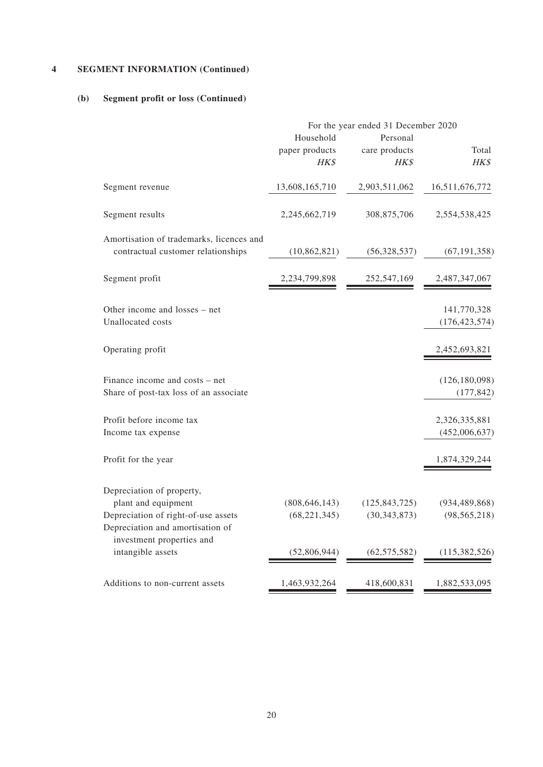#### **(b) Segment profit or loss (Continued)**

|                                                                                                                             | For the year ended 31 December 2020 |                                   |                                   |  |
|-----------------------------------------------------------------------------------------------------------------------------|-------------------------------------|-----------------------------------|-----------------------------------|--|
|                                                                                                                             | Household<br>paper products<br>HK\$ | Personal<br>care products<br>HK\$ | Total<br>HK\$                     |  |
| Segment revenue                                                                                                             | 13,608,165,710                      | 2,903,511,062                     | 16,511,676,772                    |  |
| Segment results                                                                                                             | 2,245,662,719                       | 308,875,706                       | 2,554,538,425                     |  |
| Amortisation of trademarks, licences and<br>contractual customer relationships                                              | (10, 862, 821)                      | (56,328,537)                      | (67, 191, 358)                    |  |
| Segment profit                                                                                                              | 2,234,799,898                       | 252,547,169                       | 2,487,347,067                     |  |
| Other income and losses - net<br>Unallocated costs                                                                          |                                     |                                   | 141,770,328<br>(176, 423, 574)    |  |
| Operating profit                                                                                                            |                                     |                                   | 2,452,693,821                     |  |
| Finance income and costs – net<br>Share of post-tax loss of an associate                                                    |                                     |                                   | (126, 180, 098)<br>(177, 842)     |  |
| Profit before income tax<br>Income tax expense                                                                              |                                     |                                   | 2,326,335,881<br>(452,006,637)    |  |
| Profit for the year                                                                                                         |                                     |                                   | 1,874,329,244                     |  |
| Depreciation of property,<br>plant and equipment<br>Depreciation of right-of-use assets<br>Depreciation and amortisation of | (808, 646, 143)<br>(68, 221, 345)   | (125, 843, 725)<br>(30, 343, 873) | (934, 489, 868)<br>(98, 565, 218) |  |
| investment properties and<br>intangible assets                                                                              | (52,806,944)                        | (62, 575, 582)                    | (115, 382, 526)                   |  |
| Additions to non-current assets                                                                                             | 1,463,932,264                       | 418,600,831                       | 1,882,533,095                     |  |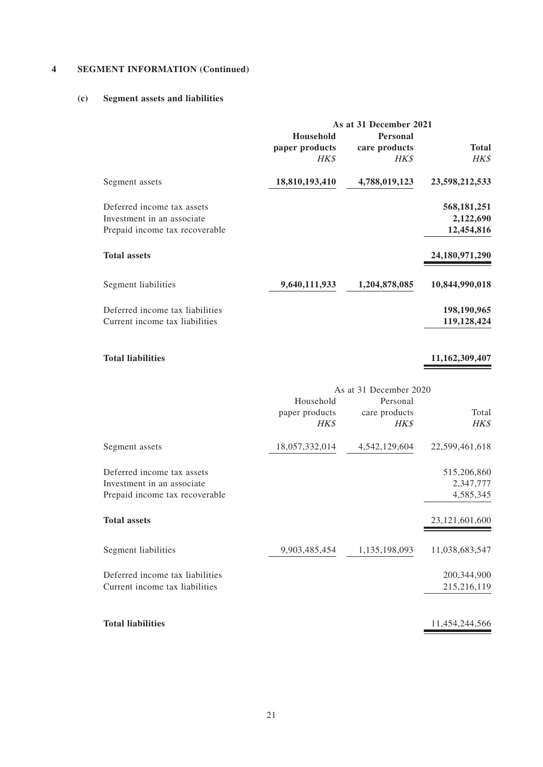#### **(c) Segment assets and liabilities**

|                                 | As at 31 December 2021 |               |                |  |
|---------------------------------|------------------------|---------------|----------------|--|
|                                 | <b>Household</b>       | Personal      |                |  |
|                                 | paper products         | care products | Total          |  |
|                                 | HK\$                   | <b>HK\$</b>   | HK\$           |  |
| Segment assets                  | 18,810,193,410         | 4,788,019,123 | 23,598,212,533 |  |
| Deferred income tax assets      |                        |               | 568, 181, 251  |  |
| Investment in an associate      |                        |               | 2,122,690      |  |
| Prepaid income tax recoverable  |                        |               | 12,454,816     |  |
| <b>Total assets</b>             |                        |               | 24,180,971,290 |  |
| Segment liabilities             | 9,640,111,933          | 1,204,878,085 | 10,844,990,018 |  |
| Deferred income tax liabilities |                        |               | 198,190,965    |  |
| Current income tax liabilities  |                        |               | 119,128,424    |  |

# **Total liabilities 11,162,309,407**

|                                 |                                     | As at 31 December 2020            |                |
|---------------------------------|-------------------------------------|-----------------------------------|----------------|
|                                 | Household<br>paper products<br>HK\$ | Personal<br>care products<br>HK\$ | Total<br>HK\$  |
| Segment assets                  | 18,057,332,014                      | 4,542,129,604                     | 22,599,461,618 |
| Deferred income tax assets      |                                     |                                   | 515,206,860    |
| Investment in an associate      |                                     |                                   | 2,347,777      |
| Prepaid income tax recoverable  |                                     |                                   | 4,585,345      |
| <b>Total assets</b>             |                                     |                                   | 23,121,601,600 |
| Segment liabilities             | 9,903,485,454                       | 1,135,198,093                     | 11,038,683,547 |
| Deferred income tax liabilities |                                     |                                   | 200,344,900    |
| Current income tax liabilities  |                                     |                                   | 215,216,119    |
|                                 |                                     |                                   |                |
| <b>Total liabilities</b>        |                                     |                                   | 11,454,244,566 |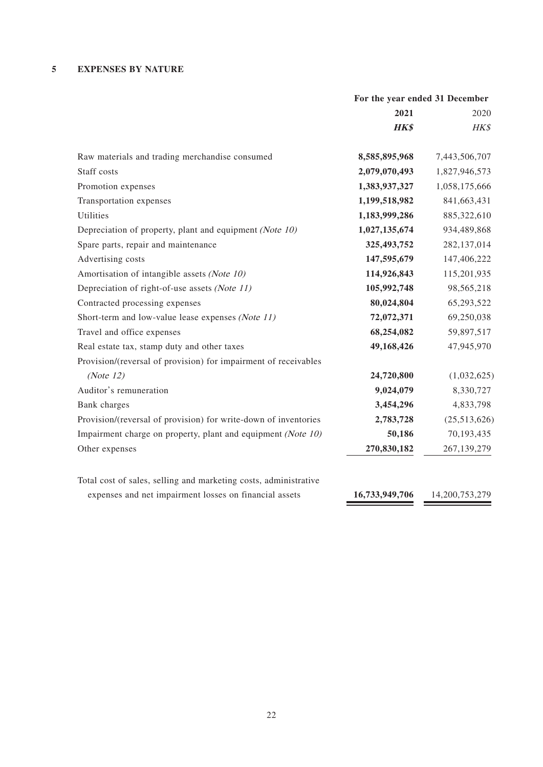### **5 EXPENSES BY NATURE**

|                                                                  | For the year ended 31 December |                |
|------------------------------------------------------------------|--------------------------------|----------------|
|                                                                  | 2021                           | 2020           |
|                                                                  | <b>HK\$</b>                    | HK\$           |
| Raw materials and trading merchandise consumed                   | 8,585,895,968                  | 7,443,506,707  |
| Staff costs                                                      | 2,079,070,493                  | 1,827,946,573  |
| Promotion expenses                                               | 1,383,937,327                  | 1,058,175,666  |
| Transportation expenses                                          | 1,199,518,982                  | 841,663,431    |
| Utilities                                                        | 1,183,999,286                  | 885,322,610    |
| Depreciation of property, plant and equipment (Note 10)          | 1,027,135,674                  | 934,489,868    |
| Spare parts, repair and maintenance                              | 325,493,752                    | 282,137,014    |
| Advertising costs                                                | 147,595,679                    | 147,406,222    |
| Amortisation of intangible assets (Note 10)                      | 114,926,843                    | 115,201,935    |
| Depreciation of right-of-use assets (Note 11)                    | 105,992,748                    | 98,565,218     |
| Contracted processing expenses                                   | 80,024,804                     | 65,293,522     |
| Short-term and low-value lease expenses (Note 11)                | 72,072,371                     | 69,250,038     |
| Travel and office expenses                                       | 68,254,082                     | 59,897,517     |
| Real estate tax, stamp duty and other taxes                      | 49,168,426                     | 47,945,970     |
| Provision/(reversal of provision) for impairment of receivables  |                                |                |
| (Note $12$ )                                                     | 24,720,800                     | (1,032,625)    |
| Auditor's remuneration                                           | 9,024,079                      | 8,330,727      |
| Bank charges                                                     | 3,454,296                      | 4,833,798      |
| Provision/(reversal of provision) for write-down of inventories  | 2,783,728                      | (25,513,626)   |
| Impairment charge on property, plant and equipment (Note 10)     | 50,186                         | 70,193,435     |
| Other expenses                                                   | 270,830,182                    | 267,139,279    |
| Total cost of sales, selling and marketing costs, administrative |                                |                |
| expenses and net impairment losses on financial assets           | 16,733,949,706                 | 14,200,753,279 |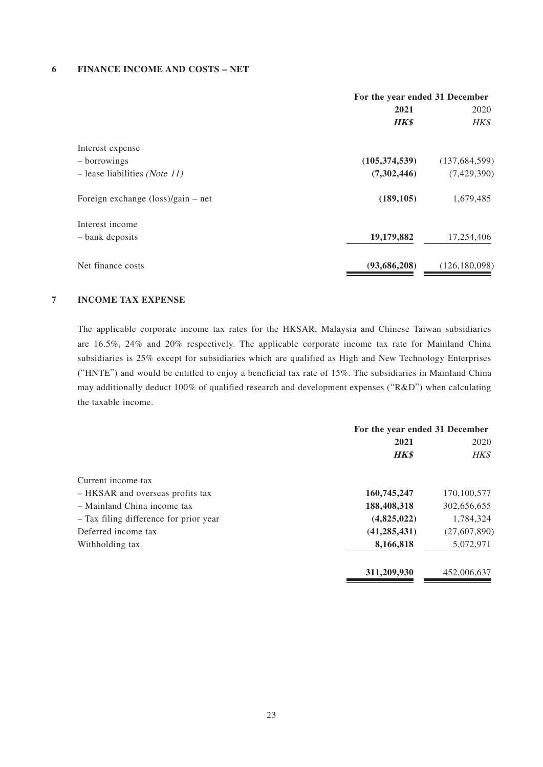#### **6 FINANCE INCOME AND COSTS – NET**

|                                                    | For the year ended 31 December |                 |
|----------------------------------------------------|--------------------------------|-----------------|
|                                                    | 2021                           | 2020            |
|                                                    | <b>HK\$</b>                    | HK\$            |
| Interest expense                                   |                                |                 |
| - borrowings                                       | (105, 374, 539)                | (137, 684, 599) |
| $-$ lease liabilities (Note 11)                    | (7,302,446)                    | (7,429,390)     |
| Foreign exchange $(\text{loss})/\text{gain}$ – net | (189, 105)                     | 1,679,485       |
| Interest income                                    |                                |                 |
| - bank deposits                                    | 19,179,882                     | 17,254,406      |
| Net finance costs                                  | (93,686,208)                   | (126, 180, 098) |

#### **7 INCOME TAX EXPENSE**

The applicable corporate income tax rates for the HKSAR, Malaysia and Chinese Taiwan subsidiaries are 16.5%, 24% and 20% respectively. The applicable corporate income tax rate for Mainland China subsidiaries is 25% except for subsidiaries which are qualified as High and New Technology Enterprises ("HNTE") and would be entitled to enjoy a beneficial tax rate of 15%. The subsidiaries in Mainland China may additionally deduct 100% of qualified research and development expenses ("R&D") when calculating the taxable income.

|                                        | For the year ended 31 December |                |
|----------------------------------------|--------------------------------|----------------|
|                                        | 2021                           | 2020           |
|                                        | <b>HK\$</b>                    | HK\$           |
| Current income tax                     |                                |                |
| - HKSAR and overseas profits tax       | 160,745,247                    | 170,100,577    |
| $-$ Mainland China income tax          | 188,408,318                    | 302,656,655    |
| - Tax filing difference for prior year | (4,825,022)                    | 1,784,324      |
| Deferred income tax                    | (41, 285, 431)                 | (27, 607, 890) |
| Withholding tax                        | 8,166,818                      | 5,072,971      |
|                                        | 311,209,930                    | 452,006,637    |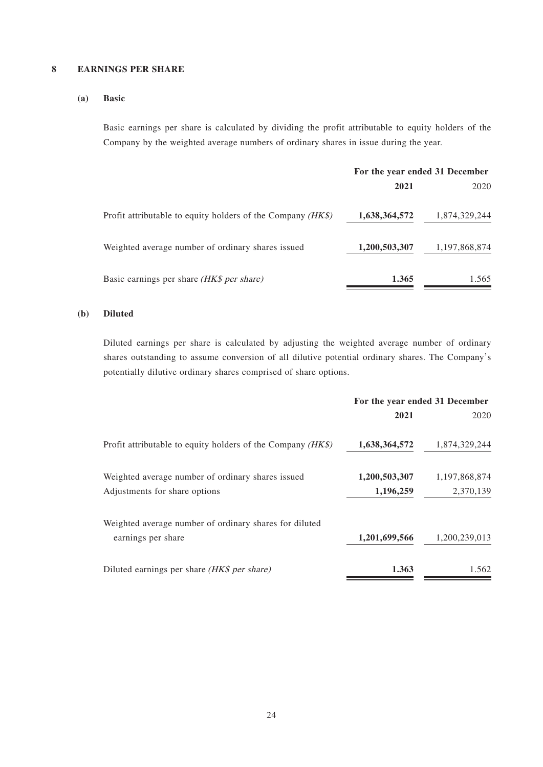#### **8 EARNINGS PER SHARE**

#### **(a) Basic**

Basic earnings per share is calculated by dividing the profit attributable to equity holders of the Company by the weighted average numbers of ordinary shares in issue during the year.

|                                                               | For the year ended 31 December |               |
|---------------------------------------------------------------|--------------------------------|---------------|
|                                                               | 2021                           | 2020          |
| Profit attributable to equity holders of the Company $(HK\$ ) | 1,638,364,572                  | 1,874,329,244 |
| Weighted average number of ordinary shares issued             | 1,200,503,307                  | 1,197,868,874 |
| Basic earnings per share <i>(HK\$ per share)</i>              | 1.365                          | 1.565         |

#### **(b) Diluted**

Diluted earnings per share is calculated by adjusting the weighted average number of ordinary shares outstanding to assume conversion of all dilutive potential ordinary shares. The Company's potentially dilutive ordinary shares comprised of share options.

|                                                               | For the year ended 31 December |               |
|---------------------------------------------------------------|--------------------------------|---------------|
|                                                               | 2021                           | 2020          |
| Profit attributable to equity holders of the Company $(HK\$ ) | 1,638,364,572                  | 1,874,329,244 |
| Weighted average number of ordinary shares issued             | 1,200,503,307                  | 1,197,868,874 |
| Adjustments for share options                                 | 1,196,259                      | 2,370,139     |
| Weighted average number of ordinary shares for diluted        |                                |               |
| earnings per share                                            | 1,201,699,566                  | 1,200,239,013 |
| Diluted earnings per share (HK\$ per share)                   | 1.363                          | 1.562         |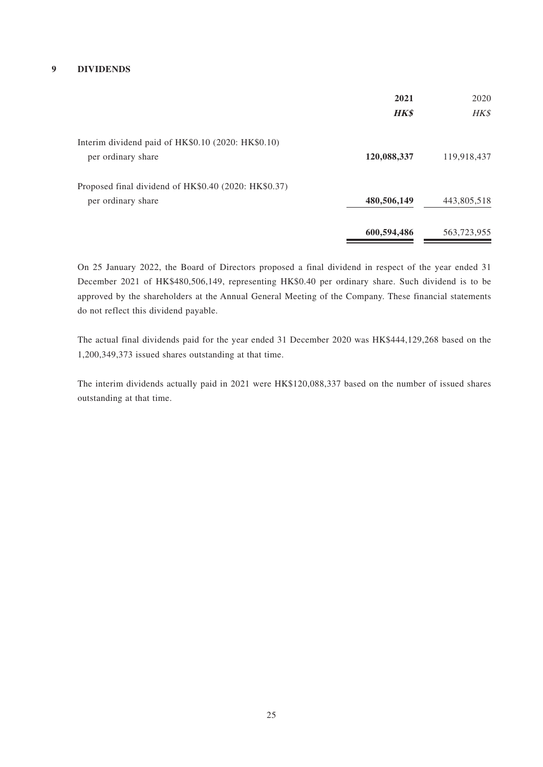#### **9 DIVIDENDS**

|                                                      | 2021        | 2020        |
|------------------------------------------------------|-------------|-------------|
|                                                      | <b>HK\$</b> | HK\$        |
| Interim dividend paid of HK\$0.10 (2020: HK\$0.10)   |             |             |
| per ordinary share                                   | 120,088,337 | 119,918,437 |
| Proposed final dividend of HK\$0.40 (2020: HK\$0.37) |             |             |
| per ordinary share                                   | 480,506,149 | 443,805,518 |
|                                                      | 600,594,486 | 563,723,955 |

On 25 January 2022, the Board of Directors proposed a final dividend in respect of the year ended 31 December 2021 of HK\$480,506,149, representing HK\$0.40 per ordinary share. Such dividend is to be approved by the shareholders at the Annual General Meeting of the Company. These financial statements do not reflect this dividend payable.

The actual final dividends paid for the year ended 31 December 2020 was HK\$444,129,268 based on the 1,200,349,373 issued shares outstanding at that time.

The interim dividends actually paid in 2021 were HK\$120,088,337 based on the number of issued shares outstanding at that time.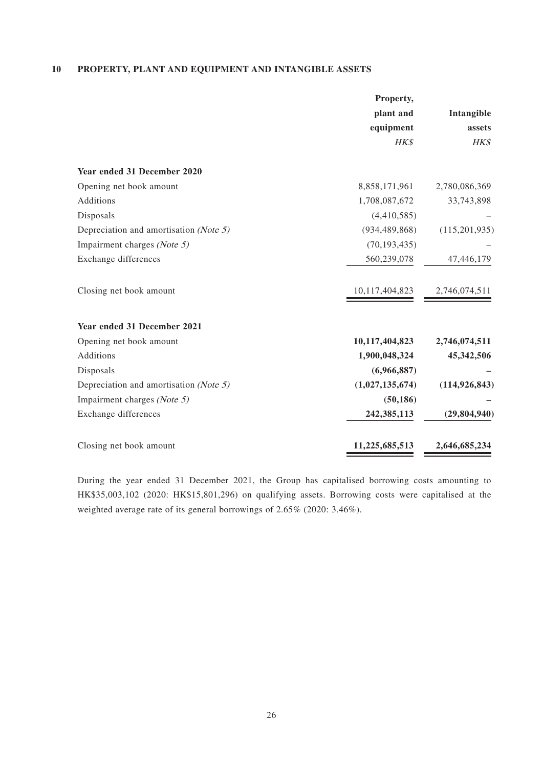#### **10 PROPERTY, PLANT AND EQUIPMENT AND INTANGIBLE ASSETS**

|                                        | Property,                              |                 |
|----------------------------------------|----------------------------------------|-----------------|
|                                        | plant and                              | Intangible      |
|                                        | equipment                              | assets          |
|                                        | HK\$                                   | HK\$            |
| Year ended 31 December 2020            |                                        |                 |
| Opening net book amount                | 8,858,171,961                          | 2,780,086,369   |
| Additions                              | 1,708,087,672                          | 33,743,898      |
| Disposals                              | (4,410,585)                            |                 |
| Depreciation and amortisation (Note 5) | (934, 489, 868)                        | (115, 201, 935) |
| Impairment charges (Note 5)            | (70, 193, 435)                         |                 |
| Exchange differences                   | 560,239,078                            | 47,446,179      |
| Closing net book amount                | $\frac{10,117,404,823}{2,746,074,511}$ |                 |
| Year ended 31 December 2021            |                                        |                 |
| Opening net book amount                | 10,117,404,823                         | 2,746,074,511   |
| Additions                              | 1,900,048,324                          | 45,342,506      |
| Disposals                              | (6,966,887)                            |                 |
| Depreciation and amortisation (Note 5) | (1,027,135,674)                        | (114, 926, 843) |
| Impairment charges (Note 5)            | (50, 186)                              |                 |
| Exchange differences                   | 242,385,113                            | (29, 804, 940)  |
| Closing net book amount                | 11,225,685,513                         | 2,646,685,234   |

During the year ended 31 December 2021, the Group has capitalised borrowing costs amounting to HK\$35,003,102 (2020: HK\$15,801,296) on qualifying assets. Borrowing costs were capitalised at the weighted average rate of its general borrowings of 2.65% (2020: 3.46%).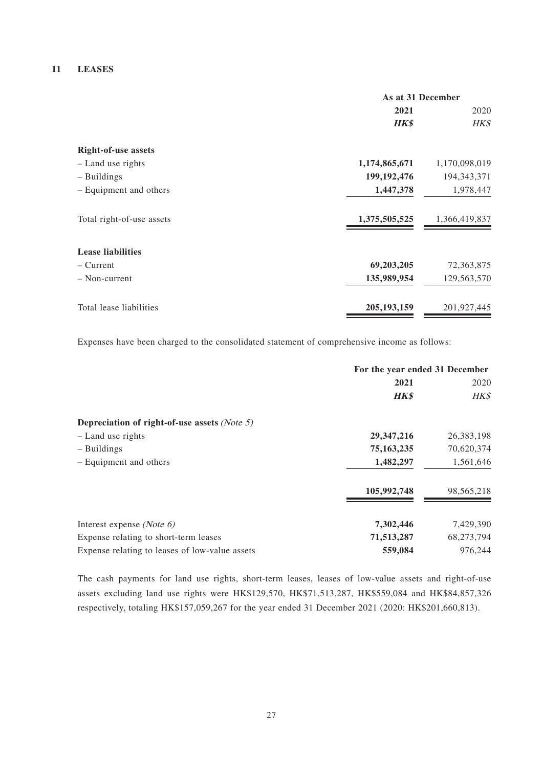#### **11 LEASES**

|                            | As at 31 December |               |
|----------------------------|-------------------|---------------|
|                            | 2021              | 2020          |
|                            | <b>HK\$</b>       | HK\$          |
| <b>Right-of-use assets</b> |                   |               |
| - Land use rights          | 1,174,865,671     | 1,170,098,019 |
| $-$ Buildings              | 199, 192, 476     | 194, 343, 371 |
| - Equipment and others     | 1,447,378         | 1,978,447     |
| Total right-of-use assets  | 1,375,505,525     | 1,366,419,837 |
| <b>Lease liabilities</b>   |                   |               |
| – Current                  | 69,203,205        | 72,363,875    |
| - Non-current              | 135,989,954       | 129,563,570   |
| Total lease liabilities    | 205, 193, 159     | 201,927,445   |

Expenses have been charged to the consolidated statement of comprehensive income as follows:

|                                                | For the year ended 31 December |            |
|------------------------------------------------|--------------------------------|------------|
|                                                | 2021                           | 2020       |
|                                                | <b>HK\$</b>                    | HK\$       |
| Depreciation of right-of-use assets (Note 5)   |                                |            |
| - Land use rights                              | 29, 347, 216                   | 26,383,198 |
| - Buildings                                    | 75, 163, 235                   | 70,620,374 |
| - Equipment and others                         | 1,482,297                      | 1,561,646  |
|                                                | 105,992,748                    | 98,565,218 |
| Interest expense (Note $6$ )                   | 7,302,446                      | 7,429,390  |
| Expense relating to short-term leases          | 71,513,287                     | 68,273,794 |
| Expense relating to leases of low-value assets | 559,084                        | 976,244    |

The cash payments for land use rights, short-term leases, leases of low-value assets and right-of-use assets excluding land use rights were HK\$129,570, HK\$71,513,287, HK\$559,084 and HK\$84,857,326 respectively, totaling HK\$157,059,267 for the year ended 31 December 2021 (2020: HK\$201,660,813).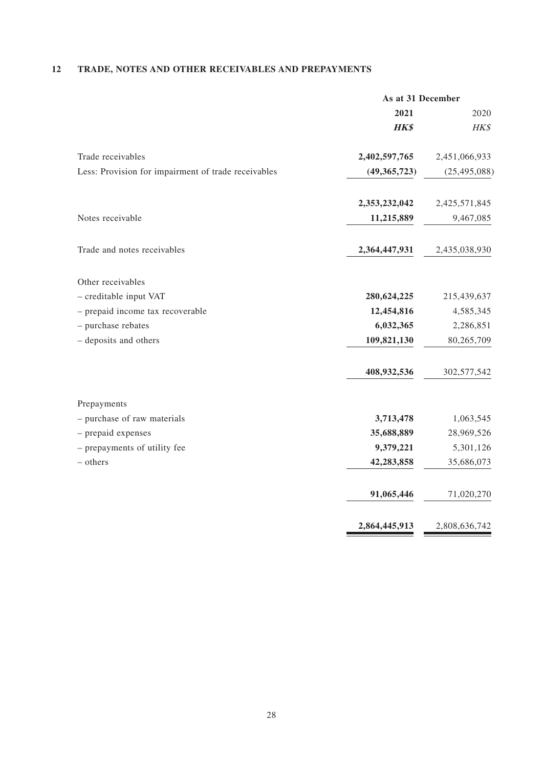# **12 TRADE, NOTES AND OTHER RECEIVABLES AND PREPAYMENTS**

|                                                     | As at 31 December |                |
|-----------------------------------------------------|-------------------|----------------|
|                                                     | 2021              | 2020           |
|                                                     | <b>HK\$</b>       | HK\$           |
| Trade receivables                                   | 2,402,597,765     | 2,451,066,933  |
| Less: Provision for impairment of trade receivables | (49,365,723)      | (25, 495, 088) |
|                                                     | 2,353,232,042     | 2,425,571,845  |
| Notes receivable                                    | 11,215,889        | 9,467,085      |
| Trade and notes receivables                         | 2,364,447,931     | 2,435,038,930  |
| Other receivables                                   |                   |                |
| - creditable input VAT                              | 280,624,225       | 215,439,637    |
| - prepaid income tax recoverable                    | 12,454,816        | 4,585,345      |
| - purchase rebates                                  | 6,032,365         | 2,286,851      |
| - deposits and others                               | 109,821,130       | 80,265,709     |
|                                                     | 408,932,536       | 302,577,542    |
| Prepayments                                         |                   |                |
| - purchase of raw materials                         | 3,713,478         | 1,063,545      |
| - prepaid expenses                                  | 35,688,889        | 28,969,526     |
| - prepayments of utility fee                        | 9,379,221         | 5,301,126      |
| - others                                            | 42,283,858        | 35,686,073     |
|                                                     | 91,065,446        | 71,020,270     |
|                                                     | 2,864,445,913     | 2,808,636,742  |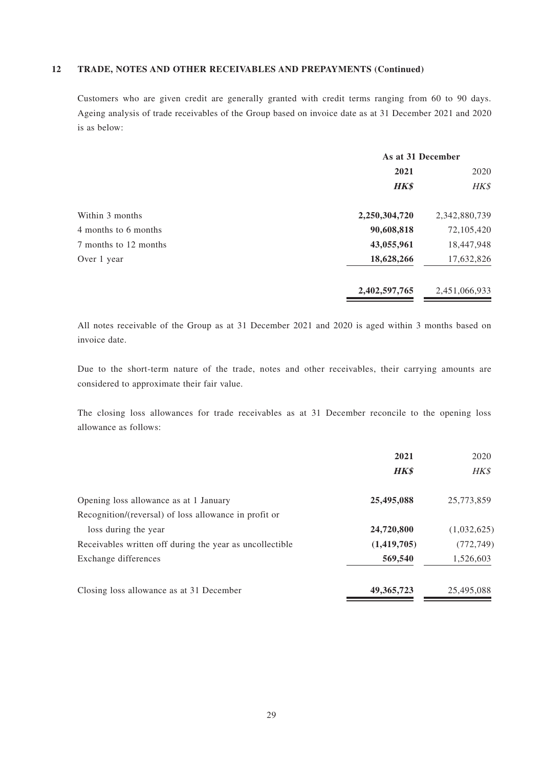#### **12 TRADE, NOTES AND OTHER RECEIVABLES AND PREPAYMENTS (Continued)**

Customers who are given credit are generally granted with credit terms ranging from 60 to 90 days. Ageing analysis of trade receivables of the Group based on invoice date as at 31 December 2021 and 2020 is as below:

|                       | As at 31 December |               |
|-----------------------|-------------------|---------------|
|                       | 2021              | 2020          |
|                       | <b>HK\$</b>       | HK\$          |
| Within 3 months       | 2,250,304,720     | 2,342,880,739 |
| 4 months to 6 months  | 90,608,818        | 72,105,420    |
| 7 months to 12 months | 43,055,961        | 18,447,948    |
| Over 1 year           | 18,628,266        | 17,632,826    |
|                       | 2,402,597,765     | 2,451,066,933 |

All notes receivable of the Group as at 31 December 2021 and 2020 is aged within 3 months based on invoice date.

Due to the short-term nature of the trade, notes and other receivables, their carrying amounts are considered to approximate their fair value.

The closing loss allowances for trade receivables as at 31 December reconcile to the opening loss allowance as follows:

|                                                          | 2021         | 2020        |
|----------------------------------------------------------|--------------|-------------|
|                                                          | <b>HK\$</b>  | HK\$        |
| Opening loss allowance as at 1 January                   | 25,495,088   | 25,773,859  |
| Recognition/(reversal) of loss allowance in profit or    |              |             |
| loss during the year                                     | 24,720,800   | (1,032,625) |
| Receivables written off during the year as uncollectible | (1,419,705)  | (772, 749)  |
| Exchange differences                                     | 569,540      | 1,526,603   |
| Closing loss allowance as at 31 December                 | 49, 365, 723 | 25,495,088  |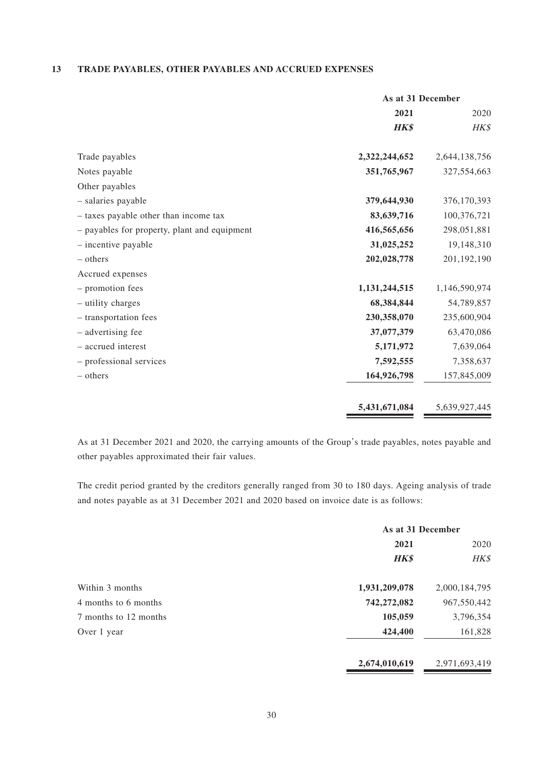#### **13 TRADE PAYABLES, OTHER PAYABLES AND ACCRUED EXPENSES**

|                                              | As at 31 December |               |
|----------------------------------------------|-------------------|---------------|
|                                              | 2021              | 2020          |
|                                              | <b>HK\$</b>       | HK\$          |
| Trade payables                               | 2,322,244,652     | 2,644,138,756 |
| Notes payable                                | 351,765,967       | 327,554,663   |
| Other payables                               |                   |               |
| - salaries payable                           | 379,644,930       | 376,170,393   |
| - taxes payable other than income tax        | 83,639,716        | 100,376,721   |
| - payables for property, plant and equipment | 416,565,656       | 298,051,881   |
| $-$ incentive payable                        | 31,025,252        | 19,148,310    |
| $-$ others                                   | 202,028,778       | 201,192,190   |
| Accrued expenses                             |                   |               |
| - promotion fees                             | 1,131,244,515     | 1,146,590,974 |
| - utility charges                            | 68,384,844        | 54,789,857    |
| - transportation fees                        | 230,358,070       | 235,600,904   |
| - advertising fee                            | 37,077,379        | 63,470,086    |
| - accrued interest                           | 5,171,972         | 7,639,064     |
| - professional services                      | 7,592,555         | 7,358,637     |
| – others                                     | 164,926,798       | 157,845,009   |
|                                              | 5,431,671,084     | 5,639,927,445 |

As at 31 December 2021 and 2020, the carrying amounts of the Group's trade payables, notes payable and other payables approximated their fair values.

The credit period granted by the creditors generally ranged from 30 to 180 days. Ageing analysis of trade and notes payable as at 31 December 2021 and 2020 based on invoice date is as follows:

|                       | As at 31 December |               |
|-----------------------|-------------------|---------------|
|                       | 2021              |               |
|                       | <b>HK\$</b>       | HK\$          |
| Within 3 months       | 1,931,209,078     | 2,000,184,795 |
| 4 months to 6 months  | 742,272,082       | 967,550,442   |
| 7 months to 12 months | 105,059           | 3,796,354     |
| Over 1 year           | 424,400           | 161,828       |
|                       | 2,674,010,619     | 2,971,693,419 |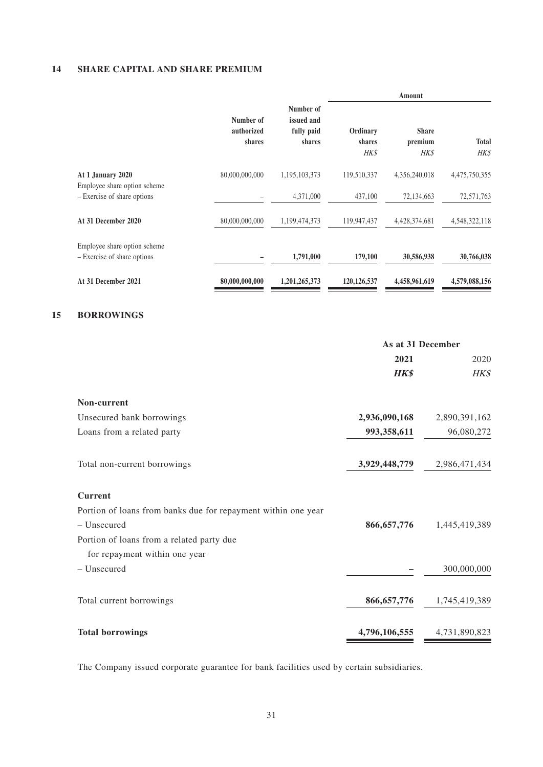# **14 SHARE CAPITAL AND SHARE PREMIUM**

**15 BORROWINGS**

|                                                             |                                   |                                                 |                            | Amount                          |                      |
|-------------------------------------------------------------|-----------------------------------|-------------------------------------------------|----------------------------|---------------------------------|----------------------|
|                                                             | Number of<br>authorized<br>shares | Number of<br>issued and<br>fully paid<br>shares | Ordinary<br>shares<br>HK\$ | <b>Share</b><br>premium<br>HK\$ | <b>Total</b><br>HK\$ |
| At 1 January 2020                                           | 80,000,000,000                    | 1,195,103,373                                   | 119,510,337                | 4,356,240,018                   | 4,475,750,355        |
| Employee share option scheme<br>- Exercise of share options |                                   | 4,371,000                                       | 437,100                    | 72,134,663                      | 72,571,763           |
| At 31 December 2020                                         | 80,000,000,000                    | 1,199,474,373                                   | 119,947,437                | 4,428,374,681                   | 4,548,322,118        |
| Employee share option scheme<br>- Exercise of share options |                                   | 1,791,000                                       | 179,100                    | 30,586,938                      | 30,766,038           |
| At 31 December 2021                                         | 80,000,000,000                    | 1,201,265,373                                   | 120,126,537                | 4,458,961,619                   | 4,579,088,156        |
| <b>BORROWINGS</b>                                           |                                   |                                                 |                            |                                 |                      |
|                                                             |                                   |                                                 |                            | As at 31 December               |                      |
|                                                             |                                   |                                                 |                            | 2021                            | 2020                 |
|                                                             |                                   |                                                 |                            | <b>HK\$</b>                     | HK\$                 |
| Non-current                                                 |                                   |                                                 |                            |                                 |                      |
| Unsecured bank borrowings                                   |                                   |                                                 |                            | 2,936,090,168                   | 2,890,391,162        |
| Loans from a related party                                  |                                   |                                                 |                            | 993,358,611                     | 96,080,272           |
| Total non-current borrowings                                |                                   |                                                 |                            | 3,929,448,779                   | 2,986,471,434        |
| <b>Current</b>                                              |                                   |                                                 |                            |                                 |                      |

| – uli viit                                                    |               |               |
|---------------------------------------------------------------|---------------|---------------|
| Portion of loans from banks due for repayment within one year |               |               |
| - Unsecured                                                   | 866, 657, 776 | 1,445,419,389 |
| Portion of loans from a related party due                     |               |               |
| for repayment within one year                                 |               |               |
| - Unsecured                                                   |               | 300,000,000   |
|                                                               |               |               |
| Total current borrowings                                      | 866, 657, 776 | 1,745,419,389 |
|                                                               |               |               |
| <b>Total borrowings</b>                                       | 4,796,106,555 | 4,731,890,823 |
|                                                               |               |               |

The Company issued corporate guarantee for bank facilities used by certain subsidiaries.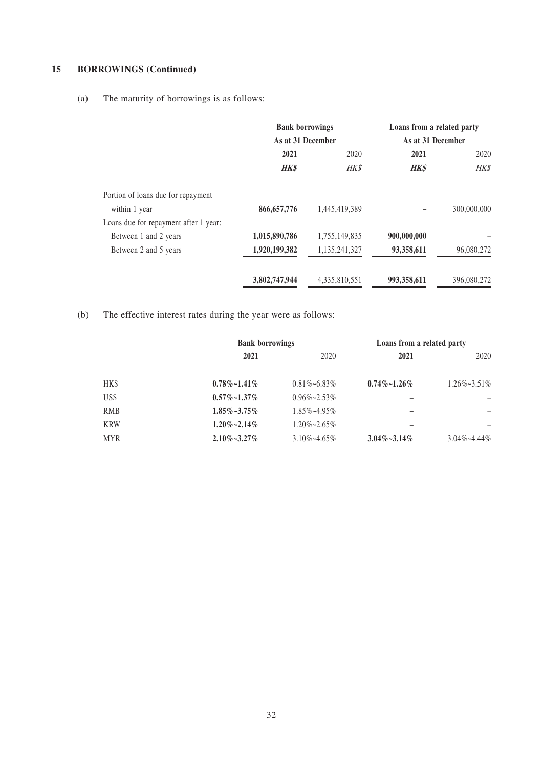# **15 BORROWINGS (Continued)**

(a) The maturity of borrowings is as follows:

|                                       | <b>Bank borrowings</b><br>As at 31 December |               | Loans from a related party<br>As at 31 December |             |
|---------------------------------------|---------------------------------------------|---------------|-------------------------------------------------|-------------|
|                                       |                                             |               |                                                 |             |
|                                       | 2021<br>2020                                |               | 2021                                            | 2020        |
|                                       | <b>HK\$</b>                                 | <b>HK\$</b>   | <b>HK\$</b>                                     | <b>HK\$</b> |
| Portion of loans due for repayment    |                                             |               |                                                 |             |
| within 1 year                         | 866, 657, 776                               | 1,445,419,389 |                                                 | 300,000,000 |
| Loans due for repayment after 1 year: |                                             |               |                                                 |             |
| Between 1 and 2 years                 | 1,015,890,786                               | 1,755,149,835 | 900,000,000                                     |             |
| Between 2 and 5 years                 | 1,920,199,382                               | 1,135,241,327 | 93,358,611                                      | 96,080,272  |
|                                       | 3,802,747,944                               | 4,335,810,551 | 993,358,611                                     | 396,080,272 |

(b) The effective interest rates during the year were as follows:

|            | <b>Bank borrowings</b> |                      | Loans from a related party |                      |
|------------|------------------------|----------------------|----------------------------|----------------------|
|            | 2021                   | 2020                 | 2021                       | 2020                 |
| HK\$       | $0.78\%$ ~1.41\%       | $0.81\% \sim 6.83\%$ | $0.74\%$ ~1.26%            | $1.26\% \sim 3.51\%$ |
| US\$       | $0.57\%$ ~1.37%        | $0.96\% \sim 2.53\%$ |                            |                      |
| <b>RMB</b> | $1.85\% \sim 3.75\%$   | $1.85\% \sim 4.95\%$ |                            |                      |
| <b>KRW</b> | $1.20\% - 2.14\%$      | $1.20\% \sim 2.65\%$ |                            |                      |
| <b>MYR</b> | $2.10\% \sim 3.27\%$   | $3.10\% \sim 4.65\%$ | $3.04\% \sim 3.14\%$       | $3.04\% - 4.44\%$    |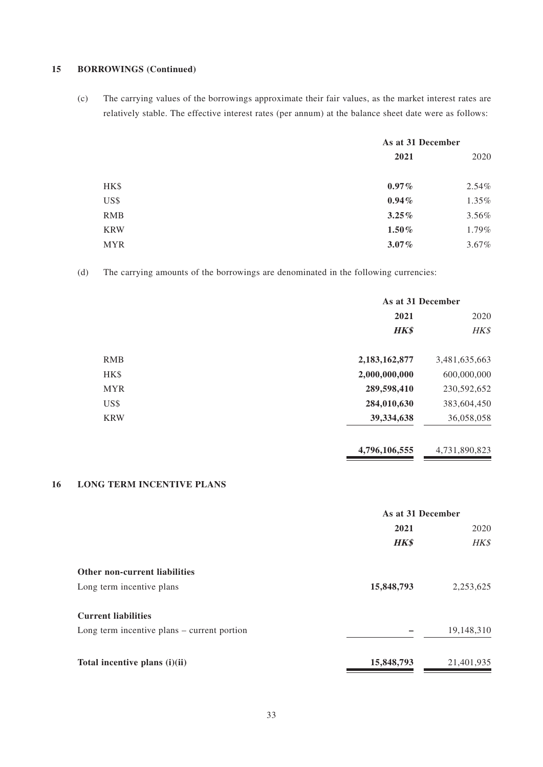#### **15 BORROWINGS (Continued)**

(c) The carrying values of the borrowings approximate their fair values, as the market interest rates are relatively stable. The effective interest rates (per annum) at the balance sheet date were as follows:

|            | As at 31 December |          |
|------------|-------------------|----------|
|            | 2021              | 2020     |
| HK\$       | $0.97\%$          | $2.54\%$ |
| US\$       | $0.94\%$          | 1.35%    |
| <b>RMB</b> | 3.25%             | $3.56\%$ |
| <b>KRW</b> | $1.50\%$          | 1.79%    |
| <b>MYR</b> | $3.07\%$          | 3.67%    |

(d) The carrying amounts of the borrowings are denominated in the following currencies:

|            | As at 31 December |               |
|------------|-------------------|---------------|
|            | 2021              | 2020          |
|            | <b>HK\$</b>       | HK\$          |
| <b>RMB</b> | 2,183,162,877     | 3,481,635,663 |
| HK\$       | 2,000,000,000     | 600,000,000   |
| <b>MYR</b> | 289,598,410       | 230,592,652   |
| US\$       | 284,010,630       | 383,604,450   |
| <b>KRW</b> | 39,334,638        | 36,058,058    |
|            |                   |               |

**4,796,106,555** 4,731,890,823

# **16 LONG TERM INCENTIVE PLANS**

|                                               | As at 31 December |            |
|-----------------------------------------------|-------------------|------------|
|                                               | 2021              |            |
|                                               | <b>HK\$</b>       | HK\$       |
| <b>Other non-current liabilities</b>          |                   |            |
| Long term incentive plans                     | 15,848,793        | 2,253,625  |
| <b>Current liabilities</b>                    |                   |            |
| Long term incentive plans $-$ current portion |                   | 19,148,310 |
| Total incentive plans (i)(ii)                 | 15,848,793        | 21,401,935 |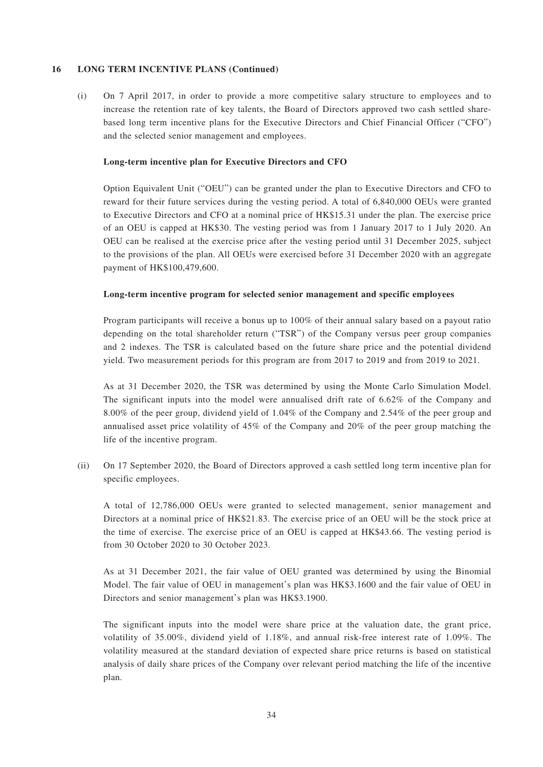#### **16 LONG TERM INCENTIVE PLANS (Continued)**

(i) On 7 April 2017, in order to provide a more competitive salary structure to employees and to increase the retention rate of key talents, the Board of Directors approved two cash settled sharebased long term incentive plans for the Executive Directors and Chief Financial Officer ("CFO") and the selected senior management and employees.

#### **Long-term incentive plan for Executive Directors and CFO**

Option Equivalent Unit ("OEU") can be granted under the plan to Executive Directors and CFO to reward for their future services during the vesting period. A total of 6,840,000 OEUs were granted to Executive Directors and CFO at a nominal price of HK\$15.31 under the plan. The exercise price of an OEU is capped at HK\$30. The vesting period was from 1 January 2017 to 1 July 2020. An OEU can be realised at the exercise price after the vesting period until 31 December 2025, subject to the provisions of the plan. All OEUs were exercised before 31 December 2020 with an aggregate payment of HK\$100,479,600.

#### **Long-term incentive program for selected senior management and specific employees**

Program participants will receive a bonus up to 100% of their annual salary based on a payout ratio depending on the total shareholder return ("TSR") of the Company versus peer group companies and 2 indexes. The TSR is calculated based on the future share price and the potential dividend yield. Two measurement periods for this program are from 2017 to 2019 and from 2019 to 2021.

As at 31 December 2020, the TSR was determined by using the Monte Carlo Simulation Model. The significant inputs into the model were annualised drift rate of 6.62% of the Company and 8.00% of the peer group, dividend yield of 1.04% of the Company and 2.54% of the peer group and annualised asset price volatility of 45% of the Company and 20% of the peer group matching the life of the incentive program.

(ii) On 17 September 2020, the Board of Directors approved a cash settled long term incentive plan for specific employees.

A total of 12,786,000 OEUs were granted to selected management, senior management and Directors at a nominal price of HK\$21.83. The exercise price of an OEU will be the stock price at the time of exercise. The exercise price of an OEU is capped at HK\$43.66. The vesting period is from 30 October 2020 to 30 October 2023.

As at 31 December 2021, the fair value of OEU granted was determined by using the Binomial Model. The fair value of OEU in management's plan was HK\$3.1600 and the fair value of OEU in Directors and senior management's plan was HK\$3.1900.

The significant inputs into the model were share price at the valuation date, the grant price, volatility of 35.00%, dividend yield of 1.18%, and annual risk-free interest rate of 1.09%. The volatility measured at the standard deviation of expected share price returns is based on statistical analysis of daily share prices of the Company over relevant period matching the life of the incentive plan.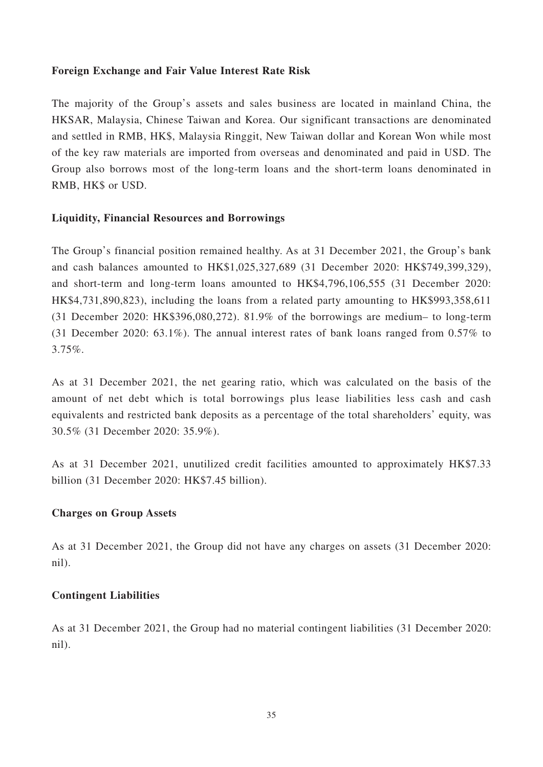# **Foreign Exchange and Fair Value Interest Rate Risk**

The majority of the Group's assets and sales business are located in mainland China, the HKSAR, Malaysia, Chinese Taiwan and Korea. Our significant transactions are denominated and settled in RMB, HK\$, Malaysia Ringgit, New Taiwan dollar and Korean Won while most of the key raw materials are imported from overseas and denominated and paid in USD. The Group also borrows most of the long-term loans and the short-term loans denominated in RMB, HK\$ or USD.

# **Liquidity, Financial Resources and Borrowings**

The Group's financial position remained healthy. As at 31 December 2021, the Group's bank and cash balances amounted to HK\$1,025,327,689 (31 December 2020: HK\$749,399,329), and short-term and long-term loans amounted to HK\$4,796,106,555 (31 December 2020: HK\$4,731,890,823), including the loans from a related party amounting to HK\$993,358,611 (31 December 2020: HK\$396,080,272). 81.9% of the borrowings are medium– to long-term (31 December 2020: 63.1%). The annual interest rates of bank loans ranged from 0.57% to 3.75%.

As at 31 December 2021, the net gearing ratio, which was calculated on the basis of the amount of net debt which is total borrowings plus lease liabilities less cash and cash equivalents and restricted bank deposits as a percentage of the total shareholders' equity, was 30.5% (31 December 2020: 35.9%).

As at 31 December 2021, unutilized credit facilities amounted to approximately HK\$7.33 billion (31 December 2020: HK\$7.45 billion).

# **Charges on Group Assets**

As at 31 December 2021, the Group did not have any charges on assets (31 December 2020: nil).

# **Contingent Liabilities**

As at 31 December 2021, the Group had no material contingent liabilities (31 December 2020: nil).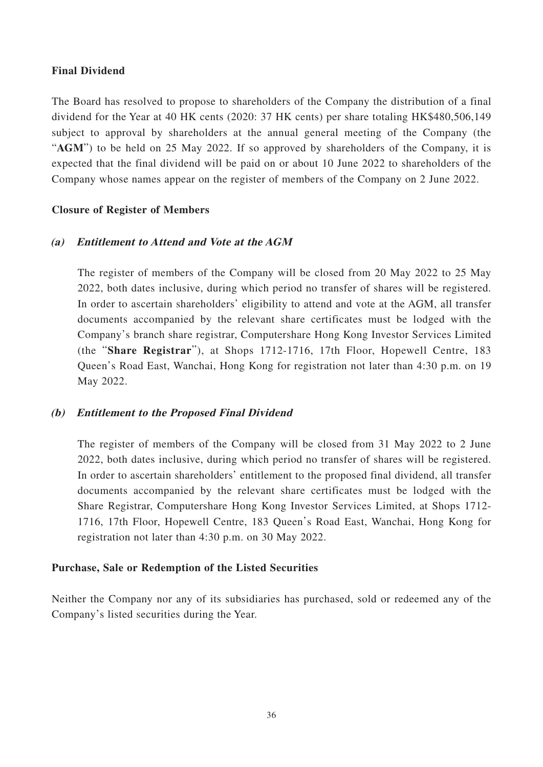# **Final Dividend**

The Board has resolved to propose to shareholders of the Company the distribution of a final dividend for the Year at 40 HK cents (2020: 37 HK cents) per share totaling HK\$480,506,149 subject to approval by shareholders at the annual general meeting of the Company (the "AGM") to be held on 25 May 2022. If so approved by shareholders of the Company, it is expected that the final dividend will be paid on or about 10 June 2022 to shareholders of the Company whose names appear on the register of members of the Company on 2 June 2022.

# **Closure of Register of Members**

# **(a) Entitlement to Attend and Vote at the AGM**

The register of members of the Company will be closed from 20 May 2022 to 25 May 2022, both dates inclusive, during which period no transfer of shares will be registered. In order to ascertain shareholders' eligibility to attend and vote at the AGM, all transfer documents accompanied by the relevant share certificates must be lodged with the Company's branch share registrar, Computershare Hong Kong Investor Services Limited (the "**Share Registrar**"), at Shops 1712-1716, 17th Floor, Hopewell Centre, 183 Queen's Road East, Wanchai, Hong Kong for registration not later than 4:30 p.m. on 19 May 2022.

# **(b) Entitlement to the Proposed Final Dividend**

The register of members of the Company will be closed from 31 May 2022 to 2 June 2022, both dates inclusive, during which period no transfer of shares will be registered. In order to ascertain shareholders' entitlement to the proposed final dividend, all transfer documents accompanied by the relevant share certificates must be lodged with the Share Registrar, Computershare Hong Kong Investor Services Limited, at Shops 1712- 1716, 17th Floor, Hopewell Centre, 183 Queen's Road East, Wanchai, Hong Kong for registration not later than 4:30 p.m. on 30 May 2022.

# **Purchase, Sale or Redemption of the Listed Securities**

Neither the Company nor any of its subsidiaries has purchased, sold or redeemed any of the Company's listed securities during the Year.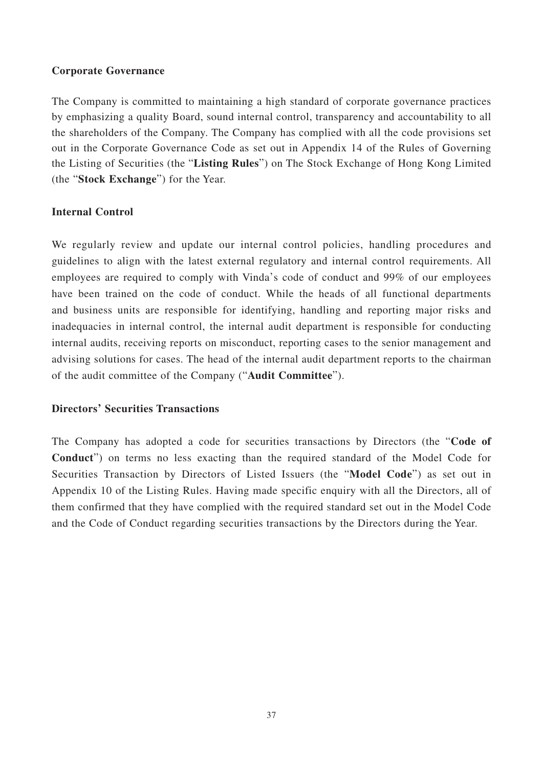# **Corporate Governance**

The Company is committed to maintaining a high standard of corporate governance practices by emphasizing a quality Board, sound internal control, transparency and accountability to all the shareholders of the Company. The Company has complied with all the code provisions set out in the Corporate Governance Code as set out in Appendix 14 of the Rules of Governing the Listing of Securities (the "**Listing Rules**") on The Stock Exchange of Hong Kong Limited (the "**Stock Exchange**") for the Year.

# **Internal Control**

We regularly review and update our internal control policies, handling procedures and guidelines to align with the latest external regulatory and internal control requirements. All employees are required to comply with Vinda's code of conduct and 99% of our employees have been trained on the code of conduct. While the heads of all functional departments and business units are responsible for identifying, handling and reporting major risks and inadequacies in internal control, the internal audit department is responsible for conducting internal audits, receiving reports on misconduct, reporting cases to the senior management and advising solutions for cases. The head of the internal audit department reports to the chairman of the audit committee of the Company ("**Audit Committee**").

# **Directors' Securities Transactions**

The Company has adopted a code for securities transactions by Directors (the "**Code of Conduct**") on terms no less exacting than the required standard of the Model Code for Securities Transaction by Directors of Listed Issuers (the "**Model Code**") as set out in Appendix 10 of the Listing Rules. Having made specific enquiry with all the Directors, all of them confirmed that they have complied with the required standard set out in the Model Code and the Code of Conduct regarding securities transactions by the Directors during the Year.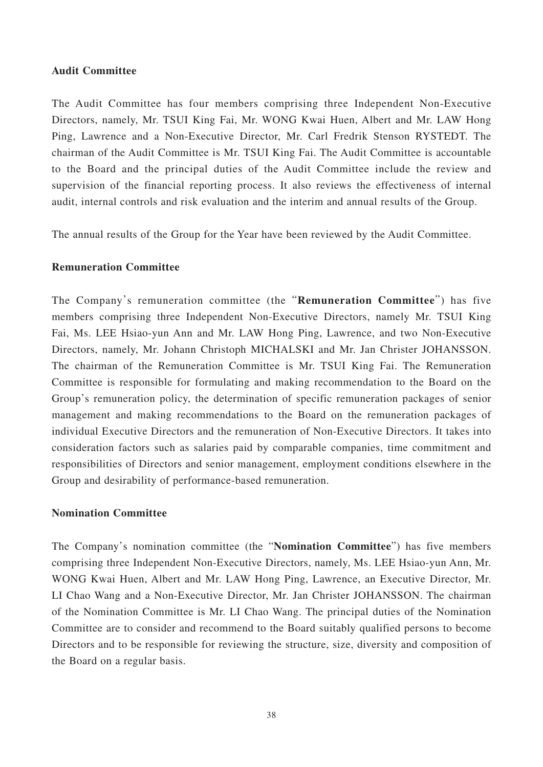# **Audit Committee**

The Audit Committee has four members comprising three Independent Non-Executive Directors, namely, Mr. TSUI King Fai, Mr. WONG Kwai Huen, Albert and Mr. LAW Hong Ping, Lawrence and a Non-Executive Director, Mr. Carl Fredrik Stenson RYSTEDT. The chairman of the Audit Committee is Mr. TSUI King Fai. The Audit Committee is accountable to the Board and the principal duties of the Audit Committee include the review and supervision of the financial reporting process. It also reviews the effectiveness of internal audit, internal controls and risk evaluation and the interim and annual results of the Group.

The annual results of the Group for the Year have been reviewed by the Audit Committee.

# **Remuneration Committee**

The Company's remuneration committee (the "**Remuneration Committee**") has five members comprising three Independent Non-Executive Directors, namely Mr. TSUI King Fai, Ms. LEE Hsiao-yun Ann and Mr. LAW Hong Ping, Lawrence, and two Non-Executive Directors, namely, Mr. Johann Christoph MICHALSKI and Mr. Jan Christer JOHANSSON. The chairman of the Remuneration Committee is Mr. TSUI King Fai. The Remuneration Committee is responsible for formulating and making recommendation to the Board on the Group's remuneration policy, the determination of specific remuneration packages of senior management and making recommendations to the Board on the remuneration packages of individual Executive Directors and the remuneration of Non-Executive Directors. It takes into consideration factors such as salaries paid by comparable companies, time commitment and responsibilities of Directors and senior management, employment conditions elsewhere in the Group and desirability of performance-based remuneration.

# **Nomination Committee**

The Company's nomination committee (the "**Nomination Committee**") has five members comprising three Independent Non-Executive Directors, namely, Ms. LEE Hsiao-yun Ann, Mr. WONG Kwai Huen, Albert and Mr. LAW Hong Ping, Lawrence, an Executive Director, Mr. LI Chao Wang and a Non-Executive Director, Mr. Jan Christer JOHANSSON. The chairman of the Nomination Committee is Mr. LI Chao Wang. The principal duties of the Nomination Committee are to consider and recommend to the Board suitably qualified persons to become Directors and to be responsible for reviewing the structure, size, diversity and composition of the Board on a regular basis.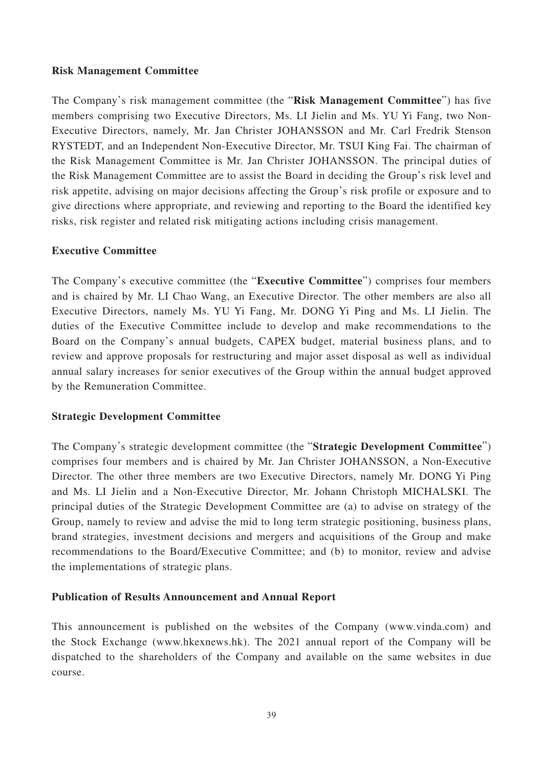# **Risk Management Committee**

The Company's risk management committee (the "**Risk Management Committee**") has five members comprising two Executive Directors, Ms. LI Jielin and Ms. YU Yi Fang, two Non-Executive Directors, namely, Mr. Jan Christer JOHANSSON and Mr. Carl Fredrik Stenson RYSTEDT, and an Independent Non-Executive Director, Mr. TSUI King Fai. The chairman of the Risk Management Committee is Mr. Jan Christer JOHANSSON. The principal duties of the Risk Management Committee are to assist the Board in deciding the Group's risk level and risk appetite, advising on major decisions affecting the Group's risk profile or exposure and to give directions where appropriate, and reviewing and reporting to the Board the identified key risks, risk register and related risk mitigating actions including crisis management.

# **Executive Committee**

The Company's executive committee (the "**Executive Committee**") comprises four members and is chaired by Mr. LI Chao Wang, an Executive Director. The other members are also all Executive Directors, namely Ms. YU Yi Fang, Mr. DONG Yi Ping and Ms. LI Jielin. The duties of the Executive Committee include to develop and make recommendations to the Board on the Company's annual budgets, CAPEX budget, material business plans, and to review and approve proposals for restructuring and major asset disposal as well as individual annual salary increases for senior executives of the Group within the annual budget approved by the Remuneration Committee.

# **Strategic Development Committee**

The Company's strategic development committee (the "**Strategic Development Committee**") comprises four members and is chaired by Mr. Jan Christer JOHANSSON, a Non-Executive Director. The other three members are two Executive Directors, namely Mr. DONG Yi Ping and Ms. LI Jielin and a Non-Executive Director, Mr. Johann Christoph MICHALSKI. The principal duties of the Strategic Development Committee are (a) to advise on strategy of the Group, namely to review and advise the mid to long term strategic positioning, business plans, brand strategies, investment decisions and mergers and acquisitions of the Group and make recommendations to the Board/Executive Committee; and (b) to monitor, review and advise the implementations of strategic plans.

# **Publication of Results Announcement and Annual Report**

This announcement is published on the websites of the Company (www.vinda.com) and the Stock Exchange (www.hkexnews.hk). The 2021 annual report of the Company will be dispatched to the shareholders of the Company and available on the same websites in due course.